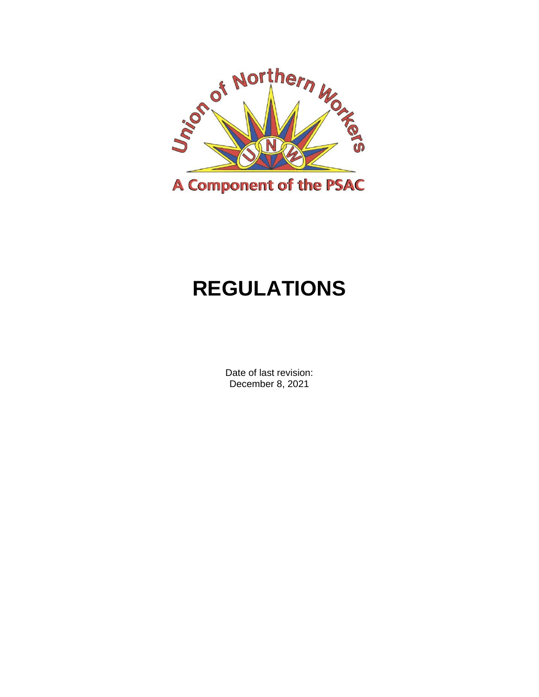

# **REGULATIONS**

Date of last revision: December 8, 2021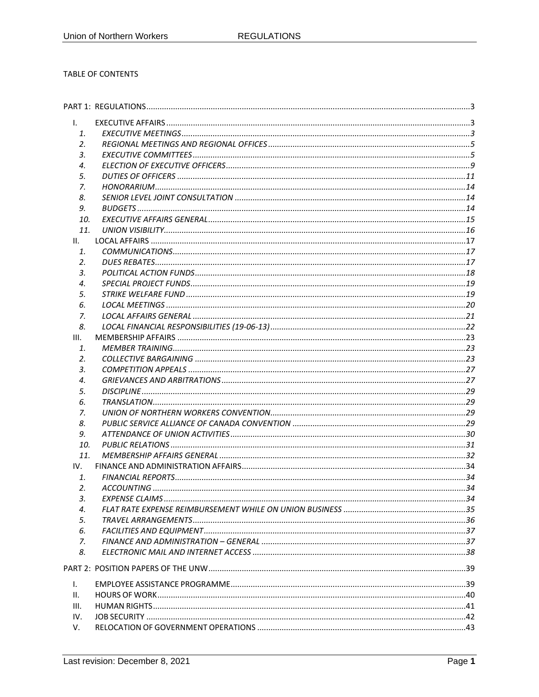#### TABLE OF CONTENTS

| $\mathbf{L}$ |  |
|--------------|--|
| 1.           |  |
| 2.           |  |
| 3.           |  |
| 4.           |  |
| 5.           |  |
| 7.           |  |
| 8.           |  |
| 9.           |  |
| 10.          |  |
| 11.          |  |
| Ш.           |  |
| 1.           |  |
| 2.           |  |
| 3.           |  |
| 4.           |  |
| 5.           |  |
| 6.           |  |
| 7.           |  |
| 8.           |  |
| III.         |  |
| 1.           |  |
| 2.           |  |
| 3.           |  |
| 4.           |  |
| 5.           |  |
| 6.           |  |
| 7.           |  |
| 8.           |  |
| 9.           |  |
| 10.          |  |
| 11.          |  |
| IV.          |  |
| 1.           |  |
| 2.           |  |
| з.           |  |
| 4.           |  |
| 5.           |  |
| 6.           |  |
| 7.           |  |
| 8.           |  |
|              |  |
| I.           |  |
| Ш.           |  |
| III.         |  |
| IV.          |  |
| V.           |  |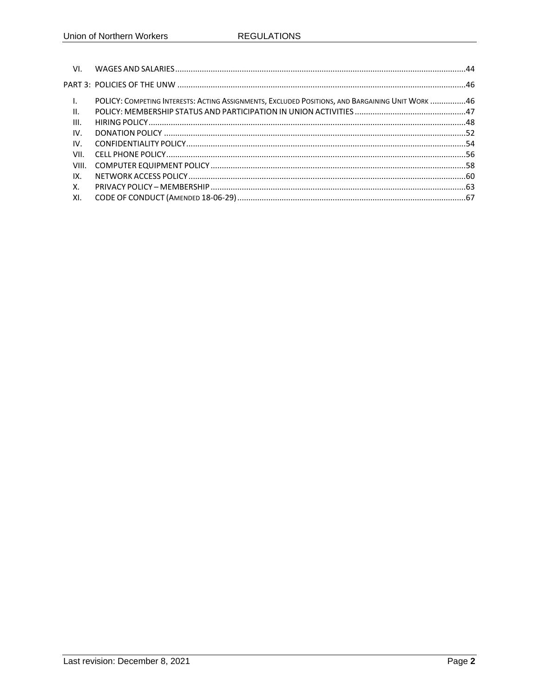| VI.            |                                                                                                  |  |
|----------------|--------------------------------------------------------------------------------------------------|--|
|                |                                                                                                  |  |
| $\mathbf{I}$ . | POLICY: COMPETING INTERESTS: ACTING ASSIGNMENTS, EXCLUDED POSITIONS, AND BARGAINING UNIT WORK 46 |  |
| II.            |                                                                                                  |  |
| III.           |                                                                                                  |  |
| IV.            |                                                                                                  |  |
| $IV_{-}$       |                                                                                                  |  |
| VII.           |                                                                                                  |  |
| VIII.          |                                                                                                  |  |
| IX.            |                                                                                                  |  |
| X.             |                                                                                                  |  |
| XI.            |                                                                                                  |  |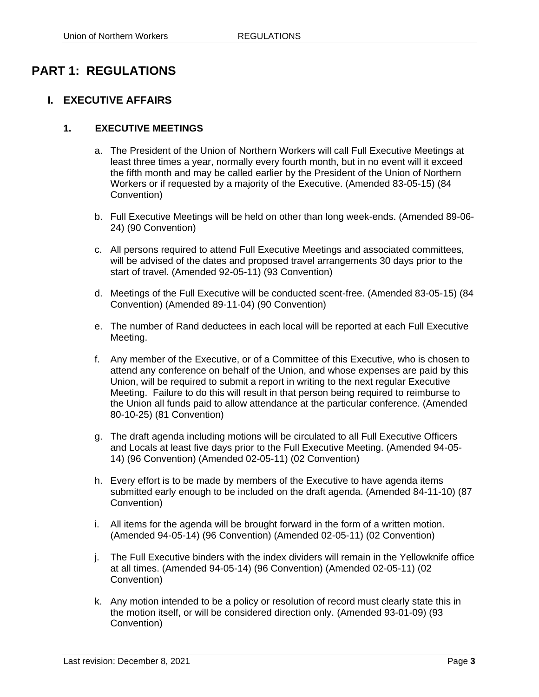# <span id="page-4-0"></span>**PART 1: REGULATIONS**

# <span id="page-4-1"></span>**I. EXECUTIVE AFFAIRS**

#### <span id="page-4-2"></span>**1. EXECUTIVE MEETINGS**

- a. The President of the Union of Northern Workers will call Full Executive Meetings at least three times a year, normally every fourth month, but in no event will it exceed the fifth month and may be called earlier by the President of the Union of Northern Workers or if requested by a majority of the Executive. (Amended 83-05-15) (84 Convention)
- b. Full Executive Meetings will be held on other than long week-ends. (Amended 89-06- 24) (90 Convention)
- c. All persons required to attend Full Executive Meetings and associated committees, will be advised of the dates and proposed travel arrangements 30 days prior to the start of travel. (Amended 92-05-11) (93 Convention)
- d. Meetings of the Full Executive will be conducted scent-free. (Amended 83-05-15) (84 Convention) (Amended 89-11-04) (90 Convention)
- e. The number of Rand deductees in each local will be reported at each Full Executive Meeting.
- f. Any member of the Executive, or of a Committee of this Executive, who is chosen to attend any conference on behalf of the Union, and whose expenses are paid by this Union, will be required to submit a report in writing to the next regular Executive Meeting. Failure to do this will result in that person being required to reimburse to the Union all funds paid to allow attendance at the particular conference. (Amended 80-10-25) (81 Convention)
- g. The draft agenda including motions will be circulated to all Full Executive Officers and Locals at least five days prior to the Full Executive Meeting. (Amended 94-05- 14) (96 Convention) (Amended 02-05-11) (02 Convention)
- h. Every effort is to be made by members of the Executive to have agenda items submitted early enough to be included on the draft agenda. (Amended 84-11-10) (87 Convention)
- i. All items for the agenda will be brought forward in the form of a written motion. (Amended 94-05-14) (96 Convention) (Amended 02-05-11) (02 Convention)
- j. The Full Executive binders with the index dividers will remain in the Yellowknife office at all times. (Amended 94-05-14) (96 Convention) (Amended 02-05-11) (02 Convention)
- k. Any motion intended to be a policy or resolution of record must clearly state this in the motion itself, or will be considered direction only. (Amended 93-01-09) (93 Convention)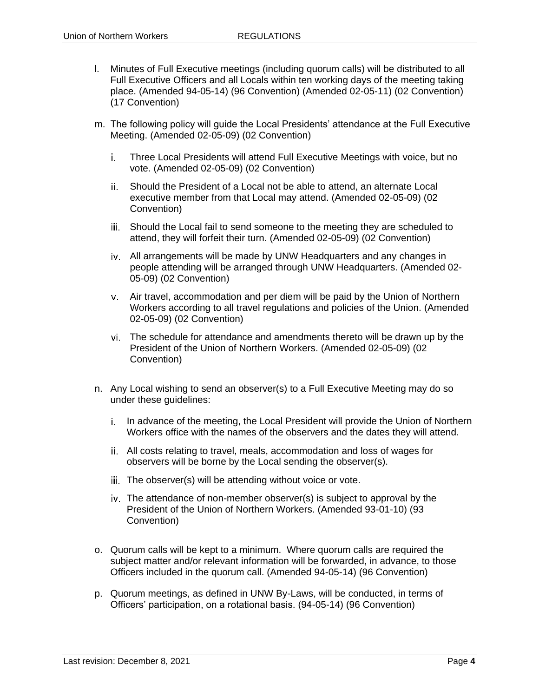- l. Minutes of Full Executive meetings (including quorum calls) will be distributed to all Full Executive Officers and all Locals within ten working days of the meeting taking place. (Amended 94-05-14) (96 Convention) (Amended 02-05-11) (02 Convention) (17 Convention)
- m. The following policy will guide the Local Presidents' attendance at the Full Executive Meeting. (Amended 02-05-09) (02 Convention)
	- Three Local Presidents will attend Full Executive Meetings with voice, but no i. vote. (Amended 02-05-09) (02 Convention)
	- Should the President of a Local not be able to attend, an alternate Local ii executive member from that Local may attend. (Amended 02-05-09) (02 Convention)
	- iii. Should the Local fail to send someone to the meeting they are scheduled to attend, they will forfeit their turn. (Amended 02-05-09) (02 Convention)
	- All arrangements will be made by UNW Headquarters and any changes in people attending will be arranged through UNW Headquarters. (Amended 02- 05-09) (02 Convention)
	- Air travel, accommodation and per diem will be paid by the Union of Northern Workers according to all travel regulations and policies of the Union. (Amended 02-05-09) (02 Convention)
	- The schedule for attendance and amendments thereto will be drawn up by the President of the Union of Northern Workers. (Amended 02-05-09) (02 Convention)
- n. Any Local wishing to send an observer(s) to a Full Executive Meeting may do so under these guidelines:
	- i. In advance of the meeting, the Local President will provide the Union of Northern Workers office with the names of the observers and the dates they will attend.
	- All costs relating to travel, meals, accommodation and loss of wages for observers will be borne by the Local sending the observer(s).
	- iii. The observer(s) will be attending without voice or vote.
	- The attendance of non-member observer(s) is subject to approval by the President of the Union of Northern Workers. (Amended 93-01-10) (93 Convention)
- o. Quorum calls will be kept to a minimum. Where quorum calls are required the subject matter and/or relevant information will be forwarded, in advance, to those Officers included in the quorum call. (Amended 94-05-14) (96 Convention)
- p. Quorum meetings, as defined in UNW By-Laws, will be conducted, in terms of Officers' participation, on a rotational basis. (94-05-14) (96 Convention)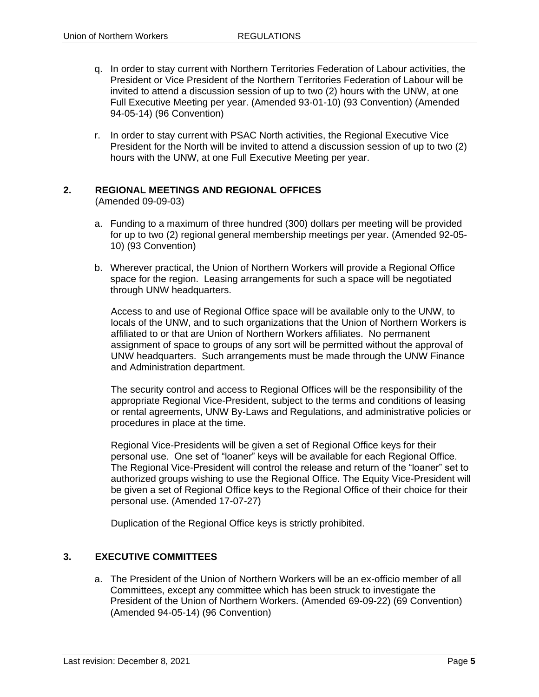- q. In order to stay current with Northern Territories Federation of Labour activities, the President or Vice President of the Northern Territories Federation of Labour will be invited to attend a discussion session of up to two (2) hours with the UNW, at one Full Executive Meeting per year. (Amended 93-01-10) (93 Convention) (Amended 94-05-14) (96 Convention)
- r. In order to stay current with PSAC North activities, the Regional Executive Vice President for the North will be invited to attend a discussion session of up to two (2) hours with the UNW, at one Full Executive Meeting per year.

#### <span id="page-6-0"></span>**2. REGIONAL MEETINGS AND REGIONAL OFFICES**

(Amended 09-09-03)

- a. Funding to a maximum of three hundred (300) dollars per meeting will be provided for up to two (2) regional general membership meetings per year. (Amended 92-05- 10) (93 Convention)
- b. Wherever practical, the Union of Northern Workers will provide a Regional Office space for the region. Leasing arrangements for such a space will be negotiated through UNW headquarters.

Access to and use of Regional Office space will be available only to the UNW, to locals of the UNW, and to such organizations that the Union of Northern Workers is affiliated to or that are Union of Northern Workers affiliates. No permanent assignment of space to groups of any sort will be permitted without the approval of UNW headquarters. Such arrangements must be made through the UNW Finance and Administration department.

The security control and access to Regional Offices will be the responsibility of the appropriate Regional Vice-President, subject to the terms and conditions of leasing or rental agreements, UNW By-Laws and Regulations, and administrative policies or procedures in place at the time.

Regional Vice-Presidents will be given a set of Regional Office keys for their personal use. One set of "loaner" keys will be available for each Regional Office. The Regional Vice-President will control the release and return of the "loaner" set to authorized groups wishing to use the Regional Office. The Equity Vice-President will be given a set of Regional Office keys to the Regional Office of their choice for their personal use. (Amended 17-07-27)

Duplication of the Regional Office keys is strictly prohibited.

#### <span id="page-6-1"></span>**3. EXECUTIVE COMMITTEES**

a. The President of the Union of Northern Workers will be an ex-officio member of all Committees, except any committee which has been struck to investigate the President of the Union of Northern Workers. (Amended 69-09-22) (69 Convention) (Amended 94-05-14) (96 Convention)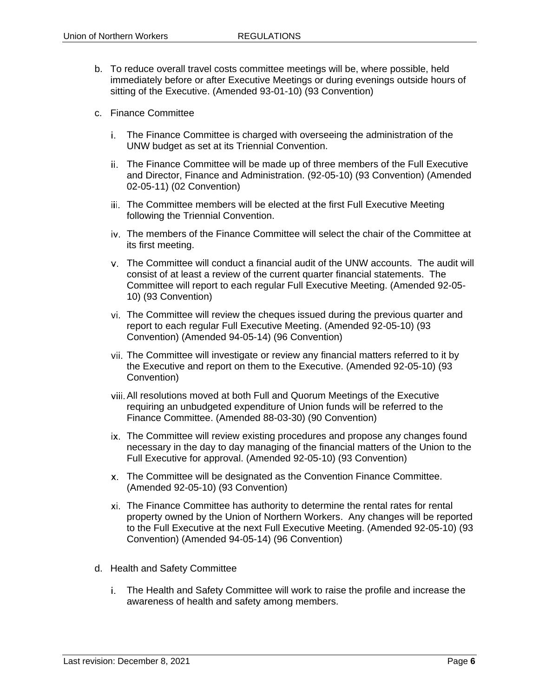- b. To reduce overall travel costs committee meetings will be, where possible, held immediately before or after Executive Meetings or during evenings outside hours of sitting of the Executive. (Amended 93-01-10) (93 Convention)
- c. Finance Committee
	- The Finance Committee is charged with overseeing the administration of the UNW budget as set at its Triennial Convention.
	- ii. The Finance Committee will be made up of three members of the Full Executive and Director, Finance and Administration. (92-05-10) (93 Convention) (Amended 02-05-11) (02 Convention)
	- iii. The Committee members will be elected at the first Full Executive Meeting following the Triennial Convention.
	- The members of the Finance Committee will select the chair of the Committee at its first meeting.
	- The Committee will conduct a financial audit of the UNW accounts. The audit will consist of at least a review of the current quarter financial statements. The Committee will report to each regular Full Executive Meeting. (Amended 92-05- 10) (93 Convention)
	- The Committee will review the cheques issued during the previous quarter and report to each regular Full Executive Meeting. (Amended 92-05-10) (93 Convention) (Amended 94-05-14) (96 Convention)
	- The Committee will investigate or review any financial matters referred to it by the Executive and report on them to the Executive. (Amended 92-05-10) (93 Convention)
	- All resolutions moved at both Full and Quorum Meetings of the Executive requiring an unbudgeted expenditure of Union funds will be referred to the Finance Committee. (Amended 88-03-30) (90 Convention)
	- ix. The Committee will review existing procedures and propose any changes found necessary in the day to day managing of the financial matters of the Union to the Full Executive for approval. (Amended 92-05-10) (93 Convention)
	- The Committee will be designated as the Convention Finance Committee. (Amended 92-05-10) (93 Convention)
	- The Finance Committee has authority to determine the rental rates for rental property owned by the Union of Northern Workers. Any changes will be reported to the Full Executive at the next Full Executive Meeting. (Amended 92-05-10) (93 Convention) (Amended 94-05-14) (96 Convention)
- d. Health and Safety Committee
	- The Health and Safety Committee will work to raise the profile and increase the awareness of health and safety among members.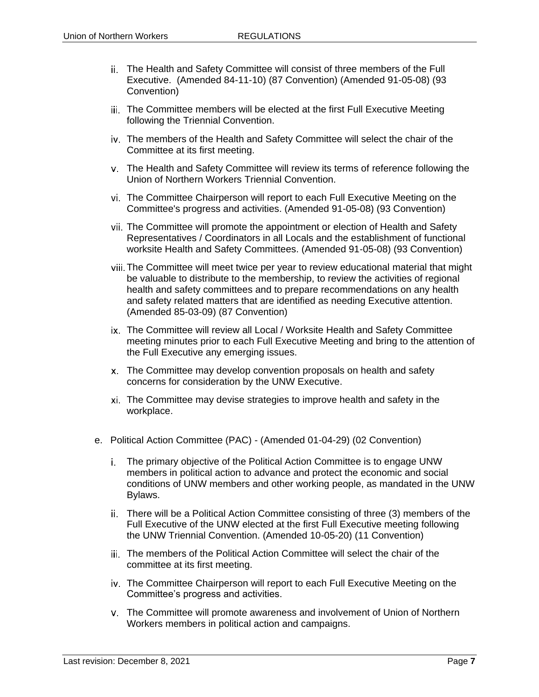- The Health and Safety Committee will consist of three members of the Full Executive. (Amended 84-11-10) (87 Convention) (Amended 91-05-08) (93 Convention)
- iii. The Committee members will be elected at the first Full Executive Meeting following the Triennial Convention.
- The members of the Health and Safety Committee will select the chair of the Committee at its first meeting.
- The Health and Safety Committee will review its terms of reference following the Union of Northern Workers Triennial Convention.
- The Committee Chairperson will report to each Full Executive Meeting on the Committee's progress and activities. (Amended 91-05-08) (93 Convention)
- The Committee will promote the appointment or election of Health and Safety Representatives / Coordinators in all Locals and the establishment of functional worksite Health and Safety Committees. (Amended 91-05-08) (93 Convention)
- The Committee will meet twice per year to review educational material that might be valuable to distribute to the membership, to review the activities of regional health and safety committees and to prepare recommendations on any health and safety related matters that are identified as needing Executive attention. (Amended 85-03-09) (87 Convention)
- ix. The Committee will review all Local / Worksite Health and Safety Committee meeting minutes prior to each Full Executive Meeting and bring to the attention of the Full Executive any emerging issues.
- The Committee may develop convention proposals on health and safety concerns for consideration by the UNW Executive.
- The Committee may devise strategies to improve health and safety in the workplace.
- e. Political Action Committee (PAC) (Amended 01-04-29) (02 Convention)
	- The primary objective of the Political Action Committee is to engage UNW members in political action to advance and protect the economic and social conditions of UNW members and other working people, as mandated in the UNW Bylaws.
	- There will be a Political Action Committee consisting of three (3) members of the Full Executive of the UNW elected at the first Full Executive meeting following the UNW Triennial Convention. (Amended 10-05-20) (11 Convention)
	- iii. The members of the Political Action Committee will select the chair of the committee at its first meeting.
	- The Committee Chairperson will report to each Full Executive Meeting on the Committee's progress and activities.
	- The Committee will promote awareness and involvement of Union of Northern Workers members in political action and campaigns.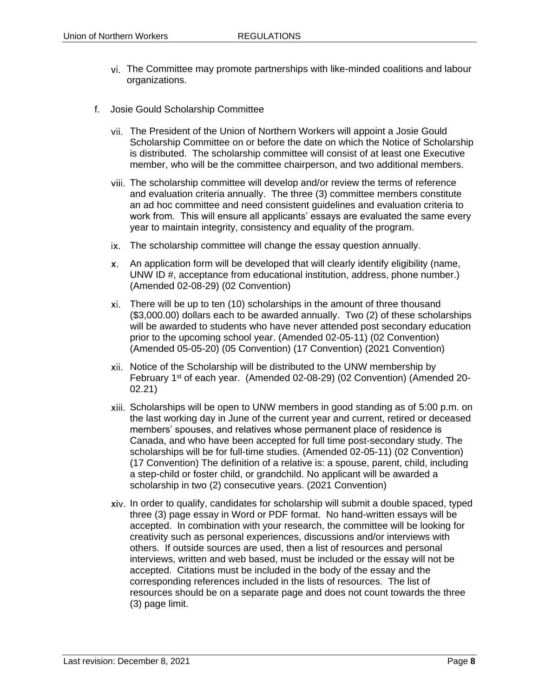- The Committee may promote partnerships with like-minded coalitions and labour organizations.
- f. Josie Gould Scholarship Committee
	- The President of the Union of Northern Workers will appoint a Josie Gould Scholarship Committee on or before the date on which the Notice of Scholarship is distributed. The scholarship committee will consist of at least one Executive member, who will be the committee chairperson, and two additional members.
	- vii. The scholarship committee will develop and/or review the terms of reference and evaluation criteria annually. The three (3) committee members constitute an ad hoc committee and need consistent guidelines and evaluation criteria to work from. This will ensure all applicants' essays are evaluated the same every year to maintain integrity, consistency and equality of the program.
	- The scholarship committee will change the essay question annually.
	- An application form will be developed that will clearly identify eligibility (name, UNW ID #, acceptance from educational institution, address, phone number.) (Amended 02-08-29) (02 Convention)
	- There will be up to ten (10) scholarships in the amount of three thousand (\$3,000.00) dollars each to be awarded annually. Two (2) of these scholarships will be awarded to students who have never attended post secondary education prior to the upcoming school year. (Amended 02-05-11) (02 Convention) (Amended 05-05-20) (05 Convention) (17 Convention) (2021 Convention)
	- $xii$ . Notice of the Scholarship will be distributed to the UNW membership by February 1st of each year. (Amended 02-08-29) (02 Convention) (Amended 20- 02.21)
	- Scholarships will be open to UNW members in good standing as of 5:00 p.m. on the last working day in June of the current year and current, retired or deceased members' spouses, and relatives whose permanent place of residence is Canada, and who have been accepted for full time post-secondary study. The scholarships will be for full-time studies. (Amended 02-05-11) (02 Convention) (17 Convention) The definition of a relative is: a spouse, parent, child, including a step-child or foster child, or grandchild. No applicant will be awarded a scholarship in two (2) consecutive years. (2021 Convention)
	- In order to qualify, candidates for scholarship will submit a double spaced, typed three (3) page essay in Word or PDF format. No hand-written essays will be accepted. In combination with your research, the committee will be looking for creativity such as personal experiences, discussions and/or interviews with others. If outside sources are used, then a list of resources and personal interviews, written and web based, must be included or the essay will not be accepted. Citations must be included in the body of the essay and the corresponding references included in the lists of resources. The list of resources should be on a separate page and does not count towards the three (3) page limit.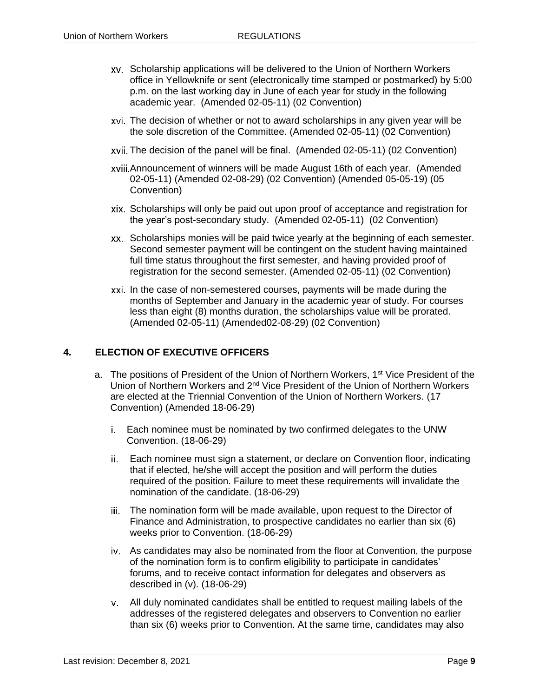- Scholarship applications will be delivered to the Union of Northern Workers office in Yellowknife or sent (electronically time stamped or postmarked) by 5:00 p.m. on the last working day in June of each year for study in the following academic year. (Amended 02-05-11) (02 Convention)
- The decision of whether or not to award scholarships in any given year will be the sole discretion of the Committee. (Amended 02-05-11) (02 Convention)
- The decision of the panel will be final. (Amended 02-05-11) (02 Convention)
- Announcement of winners will be made August 16th of each year. (Amended 02-05-11) (Amended 02-08-29) (02 Convention) (Amended 05-05-19) (05 Convention)
- Scholarships will only be paid out upon proof of acceptance and registration for the year's post-secondary study. (Amended 02-05-11) (02 Convention)
- Scholarships monies will be paid twice yearly at the beginning of each semester. Second semester payment will be contingent on the student having maintained full time status throughout the first semester, and having provided proof of registration for the second semester. (Amended 02-05-11) (02 Convention)
- xxi. In the case of non-semestered courses, payments will be made during the months of September and January in the academic year of study. For courses less than eight (8) months duration, the scholarships value will be prorated. (Amended 02-05-11) (Amended02-08-29) (02 Convention)

#### <span id="page-10-0"></span>**4. ELECTION OF EXECUTIVE OFFICERS**

- a. The positions of President of the Union of Northern Workers, 1<sup>st</sup> Vice President of the Union of Northern Workers and 2nd Vice President of the Union of Northern Workers are elected at the Triennial Convention of the Union of Northern Workers. (17 Convention) (Amended 18-06-29)
	- Each nominee must be nominated by two confirmed delegates to the UNW Convention. (18-06-29)
	- Each nominee must sign a statement, or declare on Convention floor, indicating that if elected, he/she will accept the position and will perform the duties required of the position. Failure to meet these requirements will invalidate the nomination of the candidate. (18-06-29)
	- iii. The nomination form will be made available, upon request to the Director of Finance and Administration, to prospective candidates no earlier than six (6) weeks prior to Convention. (18-06-29)
	- As candidates may also be nominated from the floor at Convention, the purpose of the nomination form is to confirm eligibility to participate in candidates' forums, and to receive contact information for delegates and observers as described in (v). (18-06-29)
	- All duly nominated candidates shall be entitled to request mailing labels of the addresses of the registered delegates and observers to Convention no earlier than six (6) weeks prior to Convention. At the same time, candidates may also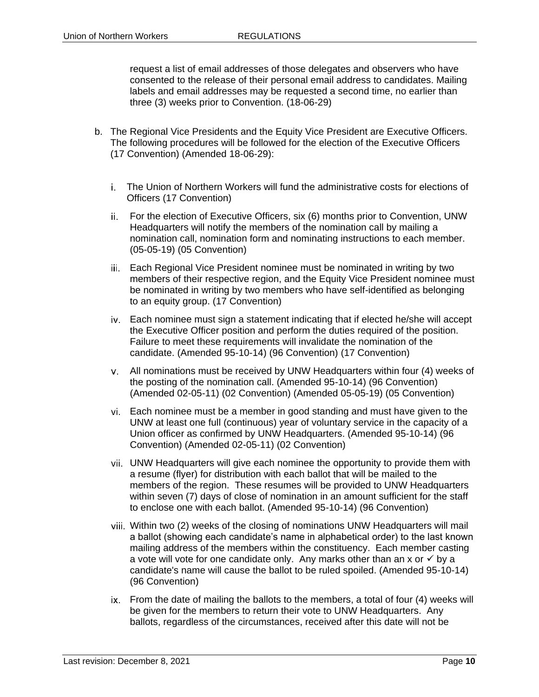request a list of email addresses of those delegates and observers who have consented to the release of their personal email address to candidates. Mailing labels and email addresses may be requested a second time, no earlier than three (3) weeks prior to Convention. (18-06-29)

- b. The Regional Vice Presidents and the Equity Vice President are Executive Officers. The following procedures will be followed for the election of the Executive Officers (17 Convention) (Amended 18-06-29):
	- The Union of Northern Workers will fund the administrative costs for elections of Officers (17 Convention)
	- For the election of Executive Officers, six (6) months prior to Convention, UNW Headquarters will notify the members of the nomination call by mailing a nomination call, nomination form and nominating instructions to each member. (05-05-19) (05 Convention)
	- iii. Each Regional Vice President nominee must be nominated in writing by two members of their respective region, and the Equity Vice President nominee must be nominated in writing by two members who have self-identified as belonging to an equity group. (17 Convention)
	- Each nominee must sign a statement indicating that if elected he/she will accept the Executive Officer position and perform the duties required of the position. Failure to meet these requirements will invalidate the nomination of the candidate. (Amended 95-10-14) (96 Convention) (17 Convention)
	- All nominations must be received by UNW Headquarters within four (4) weeks of the posting of the nomination call. (Amended 95-10-14) (96 Convention) (Amended 02-05-11) (02 Convention) (Amended 05-05-19) (05 Convention)
	- Each nominee must be a member in good standing and must have given to the UNW at least one full (continuous) year of voluntary service in the capacity of a Union officer as confirmed by UNW Headquarters. (Amended 95-10-14) (96 Convention) (Amended 02-05-11) (02 Convention)
	- UNW Headquarters will give each nominee the opportunity to provide them with a resume (flyer) for distribution with each ballot that will be mailed to the members of the region. These resumes will be provided to UNW Headquarters within seven (7) days of close of nomination in an amount sufficient for the staff to enclose one with each ballot. (Amended 95-10-14) (96 Convention)
	- Within two (2) weeks of the closing of nominations UNW Headquarters will mail a ballot (showing each candidate's name in alphabetical order) to the last known mailing address of the members within the constituency. Each member casting a vote will vote for one candidate only. Any marks other than an x or  $\checkmark$  by a candidate's name will cause the ballot to be ruled spoiled. (Amended 95-10-14) (96 Convention)
	- ix. From the date of mailing the ballots to the members, a total of four (4) weeks will be given for the members to return their vote to UNW Headquarters. Any ballots, regardless of the circumstances, received after this date will not be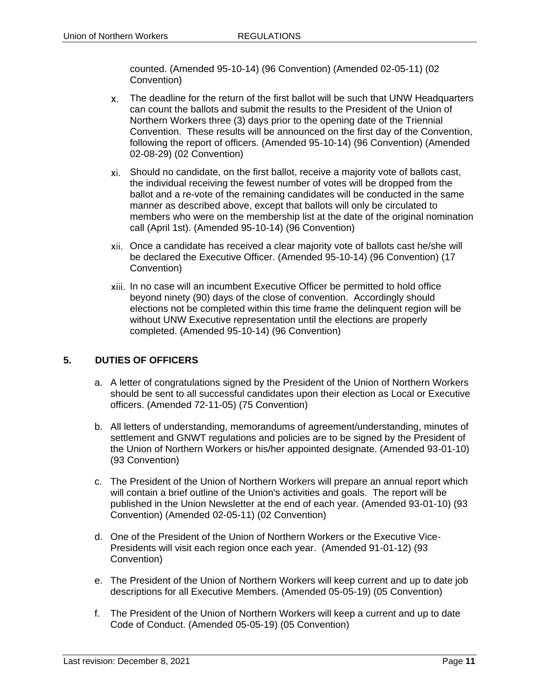counted. (Amended 95-10-14) (96 Convention) (Amended 02-05-11) (02 Convention)

- The deadline for the return of the first ballot will be such that UNW Headquarters can count the ballots and submit the results to the President of the Union of Northern Workers three (3) days prior to the opening date of the Triennial Convention. These results will be announced on the first day of the Convention, following the report of officers. (Amended 95-10-14) (96 Convention) (Amended 02-08-29) (02 Convention)
- Should no candidate, on the first ballot, receive a majority vote of ballots cast, the individual receiving the fewest number of votes will be dropped from the ballot and a re-vote of the remaining candidates will be conducted in the same manner as described above, except that ballots will only be circulated to members who were on the membership list at the date of the original nomination call (April 1st). (Amended 95-10-14) (96 Convention)
- Once a candidate has received a clear majority vote of ballots cast he/she will be declared the Executive Officer. (Amended 95-10-14) (96 Convention) (17 Convention)
- In no case will an incumbent Executive Officer be permitted to hold office beyond ninety (90) days of the close of convention. Accordingly should elections not be completed within this time frame the delinquent region will be without UNW Executive representation until the elections are properly completed. (Amended 95-10-14) (96 Convention)

# <span id="page-12-0"></span>**5. DUTIES OF OFFICERS**

- a. A letter of congratulations signed by the President of the Union of Northern Workers should be sent to all successful candidates upon their election as Local or Executive officers. (Amended 72-11-05) (75 Convention)
- b. All letters of understanding, memorandums of agreement/understanding, minutes of settlement and GNWT regulations and policies are to be signed by the President of the Union of Northern Workers or his/her appointed designate. (Amended 93-01-10) (93 Convention)
- c. The President of the Union of Northern Workers will prepare an annual report which will contain a brief outline of the Union's activities and goals. The report will be published in the Union Newsletter at the end of each year. (Amended 93-01-10) (93 Convention) (Amended 02-05-11) (02 Convention)
- d. One of the President of the Union of Northern Workers or the Executive Vice-Presidents will visit each region once each year. (Amended 91-01-12) (93 Convention)
- e. The President of the Union of Northern Workers will keep current and up to date job descriptions for all Executive Members. (Amended 05-05-19) (05 Convention)
- f. The President of the Union of Northern Workers will keep a current and up to date Code of Conduct. (Amended 05-05-19) (05 Convention)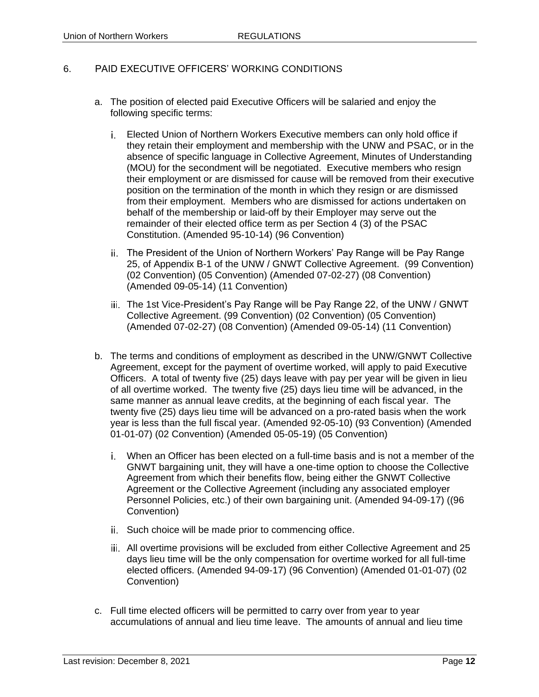#### 6. PAID EXECUTIVE OFFICERS' WORKING CONDITIONS

- a. The position of elected paid Executive Officers will be salaried and enjoy the following specific terms:
	- Elected Union of Northern Workers Executive members can only hold office if they retain their employment and membership with the UNW and PSAC, or in the absence of specific language in Collective Agreement, Minutes of Understanding (MOU) for the secondment will be negotiated. Executive members who resign their employment or are dismissed for cause will be removed from their executive position on the termination of the month in which they resign or are dismissed from their employment. Members who are dismissed for actions undertaken on behalf of the membership or laid-off by their Employer may serve out the remainder of their elected office term as per Section 4 (3) of the PSAC Constitution. (Amended 95-10-14) (96 Convention)
	- The President of the Union of Northern Workers' Pay Range will be Pay Range 25, of Appendix B-1 of the UNW / GNWT Collective Agreement. (99 Convention) (02 Convention) (05 Convention) (Amended 07-02-27) (08 Convention) (Amended 09-05-14) (11 Convention)
	- iii. The 1st Vice-President's Pay Range will be Pay Range 22, of the UNW / GNWT Collective Agreement. (99 Convention) (02 Convention) (05 Convention) (Amended 07-02-27) (08 Convention) (Amended 09-05-14) (11 Convention)
- b. The terms and conditions of employment as described in the UNW/GNWT Collective Agreement, except for the payment of overtime worked, will apply to paid Executive Officers. A total of twenty five (25) days leave with pay per year will be given in lieu of all overtime worked. The twenty five (25) days lieu time will be advanced, in the same manner as annual leave credits, at the beginning of each fiscal year. The twenty five (25) days lieu time will be advanced on a pro-rated basis when the work year is less than the full fiscal year. (Amended 92-05-10) (93 Convention) (Amended 01-01-07) (02 Convention) (Amended 05-05-19) (05 Convention)
	- When an Officer has been elected on a full-time basis and is not a member of the GNWT bargaining unit, they will have a one-time option to choose the Collective Agreement from which their benefits flow, being either the GNWT Collective Agreement or the Collective Agreement (including any associated employer Personnel Policies, etc.) of their own bargaining unit. (Amended 94-09-17) ((96 Convention)
	- ii. Such choice will be made prior to commencing office.
	- All overtime provisions will be excluded from either Collective Agreement and 25 days lieu time will be the only compensation for overtime worked for all full-time elected officers. (Amended 94-09-17) (96 Convention) (Amended 01-01-07) (02 Convention)
- c. Full time elected officers will be permitted to carry over from year to year accumulations of annual and lieu time leave. The amounts of annual and lieu time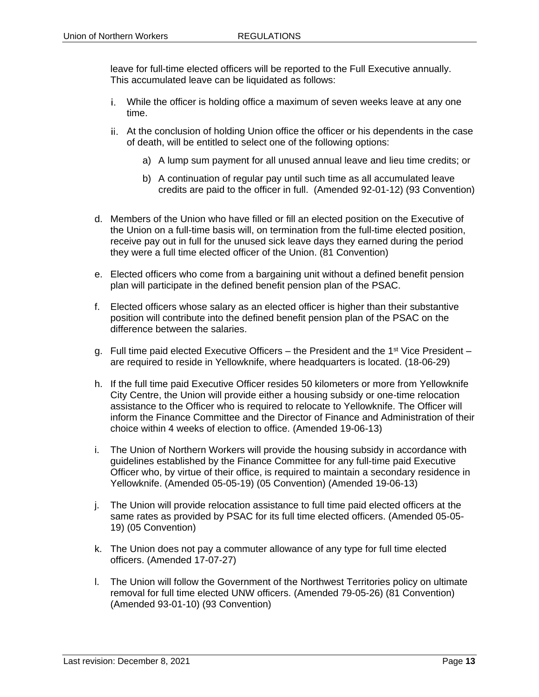leave for full-time elected officers will be reported to the Full Executive annually. This accumulated leave can be liquidated as follows:

- While the officer is holding office a maximum of seven weeks leave at any one time.
- At the conclusion of holding Union office the officer or his dependents in the case of death, will be entitled to select one of the following options:
	- a) A lump sum payment for all unused annual leave and lieu time credits; or
	- b) A continuation of regular pay until such time as all accumulated leave credits are paid to the officer in full. (Amended 92-01-12) (93 Convention)
- d. Members of the Union who have filled or fill an elected position on the Executive of the Union on a full-time basis will, on termination from the full-time elected position, receive pay out in full for the unused sick leave days they earned during the period they were a full time elected officer of the Union. (81 Convention)
- e. Elected officers who come from a bargaining unit without a defined benefit pension plan will participate in the defined benefit pension plan of the PSAC.
- f. Elected officers whose salary as an elected officer is higher than their substantive position will contribute into the defined benefit pension plan of the PSAC on the difference between the salaries.
- g. Full time paid elected Executive Officers the President and the 1<sup>st</sup> Vice President are required to reside in Yellowknife, where headquarters is located. (18-06-29)
- h. If the full time paid Executive Officer resides 50 kilometers or more from Yellowknife City Centre, the Union will provide either a housing subsidy or one-time relocation assistance to the Officer who is required to relocate to Yellowknife. The Officer will inform the Finance Committee and the Director of Finance and Administration of their choice within 4 weeks of election to office. (Amended 19-06-13)
- i. The Union of Northern Workers will provide the housing subsidy in accordance with guidelines established by the Finance Committee for any full-time paid Executive Officer who, by virtue of their office, is required to maintain a secondary residence in Yellowknife. (Amended 05-05-19) (05 Convention) (Amended 19-06-13)
- j. The Union will provide relocation assistance to full time paid elected officers at the same rates as provided by PSAC for its full time elected officers. (Amended 05-05- 19) (05 Convention)
- k. The Union does not pay a commuter allowance of any type for full time elected officers. (Amended 17-07-27)
- l. The Union will follow the Government of the Northwest Territories policy on ultimate removal for full time elected UNW officers. (Amended 79-05-26) (81 Convention) (Amended 93-01-10) (93 Convention)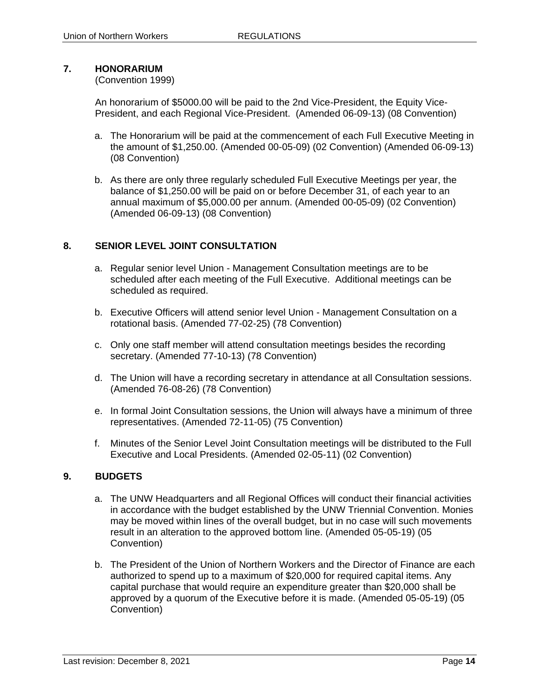# <span id="page-15-0"></span>**7. HONORARIUM**

#### (Convention 1999)

An honorarium of \$5000.00 will be paid to the 2nd Vice-President, the Equity Vice-President, and each Regional Vice-President. (Amended 06-09-13) (08 Convention)

- a. The Honorarium will be paid at the commencement of each Full Executive Meeting in the amount of \$1,250.00. (Amended 00-05-09) (02 Convention) (Amended 06-09-13) (08 Convention)
- b. As there are only three regularly scheduled Full Executive Meetings per year, the balance of \$1,250.00 will be paid on or before December 31, of each year to an annual maximum of \$5,000.00 per annum. (Amended 00-05-09) (02 Convention) (Amended 06-09-13) (08 Convention)

#### <span id="page-15-1"></span>**8. SENIOR LEVEL JOINT CONSULTATION**

- a. Regular senior level Union Management Consultation meetings are to be scheduled after each meeting of the Full Executive. Additional meetings can be scheduled as required.
- b. Executive Officers will attend senior level Union Management Consultation on a rotational basis. (Amended 77-02-25) (78 Convention)
- c. Only one staff member will attend consultation meetings besides the recording secretary. (Amended 77-10-13) (78 Convention)
- d. The Union will have a recording secretary in attendance at all Consultation sessions. (Amended 76-08-26) (78 Convention)
- e. In formal Joint Consultation sessions, the Union will always have a minimum of three representatives. (Amended 72-11-05) (75 Convention)
- f. Minutes of the Senior Level Joint Consultation meetings will be distributed to the Full Executive and Local Presidents. (Amended 02-05-11) (02 Convention)

# <span id="page-15-2"></span>**9. BUDGETS**

- a. The UNW Headquarters and all Regional Offices will conduct their financial activities in accordance with the budget established by the UNW Triennial Convention. Monies may be moved within lines of the overall budget, but in no case will such movements result in an alteration to the approved bottom line. (Amended 05-05-19) (05 Convention)
- b. The President of the Union of Northern Workers and the Director of Finance are each authorized to spend up to a maximum of \$20,000 for required capital items. Any capital purchase that would require an expenditure greater than \$20,000 shall be approved by a quorum of the Executive before it is made. (Amended 05-05-19) (05 Convention)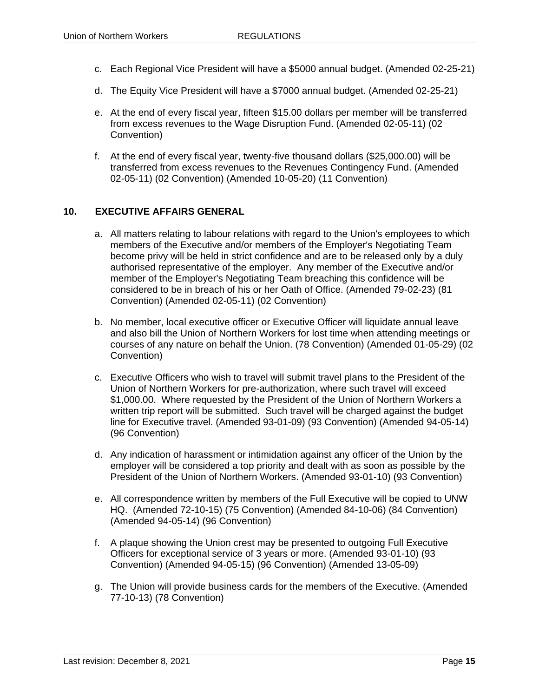- c. Each Regional Vice President will have a \$5000 annual budget. (Amended 02-25-21)
- d. The Equity Vice President will have a \$7000 annual budget. (Amended 02-25-21)
- e. At the end of every fiscal year, fifteen \$15.00 dollars per member will be transferred from excess revenues to the Wage Disruption Fund. (Amended 02-05-11) (02 Convention)
- f. At the end of every fiscal year, twenty-five thousand dollars (\$25,000.00) will be transferred from excess revenues to the Revenues Contingency Fund. (Amended 02-05-11) (02 Convention) (Amended 10-05-20) (11 Convention)

#### <span id="page-16-0"></span>**10. EXECUTIVE AFFAIRS GENERAL**

- a. All matters relating to labour relations with regard to the Union's employees to which members of the Executive and/or members of the Employer's Negotiating Team become privy will be held in strict confidence and are to be released only by a duly authorised representative of the employer. Any member of the Executive and/or member of the Employer's Negotiating Team breaching this confidence will be considered to be in breach of his or her Oath of Office. (Amended 79-02-23) (81 Convention) (Amended 02-05-11) (02 Convention)
- b. No member, local executive officer or Executive Officer will liquidate annual leave and also bill the Union of Northern Workers for lost time when attending meetings or courses of any nature on behalf the Union. (78 Convention) (Amended 01-05-29) (02 Convention)
- c. Executive Officers who wish to travel will submit travel plans to the President of the Union of Northern Workers for pre-authorization, where such travel will exceed \$1,000.00. Where requested by the President of the Union of Northern Workers a written trip report will be submitted. Such travel will be charged against the budget line for Executive travel. (Amended 93-01-09) (93 Convention) (Amended 94-05-14) (96 Convention)
- d. Any indication of harassment or intimidation against any officer of the Union by the employer will be considered a top priority and dealt with as soon as possible by the President of the Union of Northern Workers. (Amended 93-01-10) (93 Convention)
- e. All correspondence written by members of the Full Executive will be copied to UNW HQ. (Amended 72-10-15) (75 Convention) (Amended 84-10-06) (84 Convention) (Amended 94-05-14) (96 Convention)
- f. A plaque showing the Union crest may be presented to outgoing Full Executive Officers for exceptional service of 3 years or more. (Amended 93-01-10) (93 Convention) (Amended 94-05-15) (96 Convention) (Amended 13-05-09)
- g. The Union will provide business cards for the members of the Executive. (Amended 77-10-13) (78 Convention)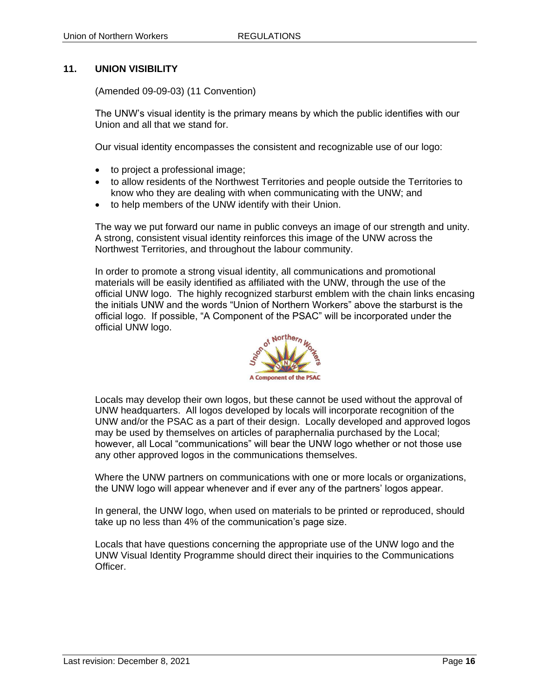#### <span id="page-17-0"></span>**11. UNION VISIBILITY**

(Amended 09-09-03) (11 Convention)

The UNW's visual identity is the primary means by which the public identifies with our Union and all that we stand for.

Our visual identity encompasses the consistent and recognizable use of our logo:

- to project a professional image;
- to allow residents of the Northwest Territories and people outside the Territories to know who they are dealing with when communicating with the UNW; and
- to help members of the UNW identify with their Union.

The way we put forward our name in public conveys an image of our strength and unity. A strong, consistent visual identity reinforces this image of the UNW across the Northwest Territories, and throughout the labour community.

In order to promote a strong visual identity, all communications and promotional materials will be easily identified as affiliated with the UNW, through the use of the official UNW logo. The highly recognized starburst emblem with the chain links encasing the initials UNW and the words "Union of Northern Workers" above the starburst is the official logo. If possible, "A Component of the PSAC" will be incorporated under the official UNW logo.



Locals may develop their own logos, but these cannot be used without the approval of UNW headquarters. All logos developed by locals will incorporate recognition of the UNW and/or the PSAC as a part of their design. Locally developed and approved logos may be used by themselves on articles of paraphernalia purchased by the Local; however, all Local "communications" will bear the UNW logo whether or not those use any other approved logos in the communications themselves.

Where the UNW partners on communications with one or more locals or organizations, the UNW logo will appear whenever and if ever any of the partners' logos appear.

In general, the UNW logo, when used on materials to be printed or reproduced, should take up no less than 4% of the communication's page size.

Locals that have questions concerning the appropriate use of the UNW logo and the UNW Visual Identity Programme should direct their inquiries to the Communications Officer.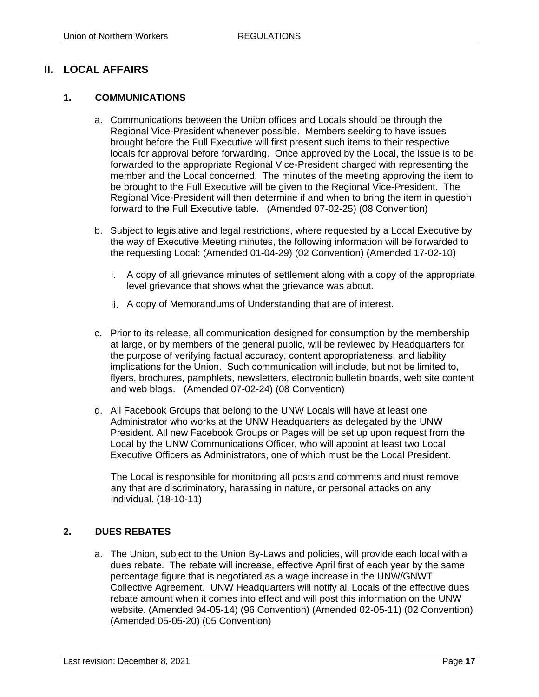# <span id="page-18-0"></span>**II. LOCAL AFFAIRS**

#### <span id="page-18-1"></span>**1. COMMUNICATIONS**

- a. Communications between the Union offices and Locals should be through the Regional Vice-President whenever possible. Members seeking to have issues brought before the Full Executive will first present such items to their respective locals for approval before forwarding. Once approved by the Local, the issue is to be forwarded to the appropriate Regional Vice-President charged with representing the member and the Local concerned. The minutes of the meeting approving the item to be brought to the Full Executive will be given to the Regional Vice-President. The Regional Vice-President will then determine if and when to bring the item in question forward to the Full Executive table. (Amended 07-02-25) (08 Convention)
- b. Subject to legislative and legal restrictions, where requested by a Local Executive by the way of Executive Meeting minutes, the following information will be forwarded to the requesting Local: (Amended 01-04-29) (02 Convention) (Amended 17-02-10)
	- A copy of all grievance minutes of settlement along with a copy of the appropriate level grievance that shows what the grievance was about.
	- A copy of Memorandums of Understanding that are of interest.
- c. Prior to its release, all communication designed for consumption by the membership at large, or by members of the general public, will be reviewed by Headquarters for the purpose of verifying factual accuracy, content appropriateness, and liability implications for the Union. Such communication will include, but not be limited to, flyers, brochures, pamphlets, newsletters, electronic bulletin boards, web site content and web blogs. (Amended 07-02-24) (08 Convention)
- d. All Facebook Groups that belong to the UNW Locals will have at least one Administrator who works at the UNW Headquarters as delegated by the UNW President. All new Facebook Groups or Pages will be set up upon request from the Local by the UNW Communications Officer, who will appoint at least two Local Executive Officers as Administrators, one of which must be the Local President.

The Local is responsible for monitoring all posts and comments and must remove any that are discriminatory, harassing in nature, or personal attacks on any individual. (18-10-11)

# <span id="page-18-2"></span>**2. DUES REBATES**

a. The Union, subject to the Union By-Laws and policies, will provide each local with a dues rebate. The rebate will increase, effective April first of each year by the same percentage figure that is negotiated as a wage increase in the UNW/GNWT Collective Agreement. UNW Headquarters will notify all Locals of the effective dues rebate amount when it comes into effect and will post this information on the UNW website. (Amended 94-05-14) (96 Convention) (Amended 02-05-11) (02 Convention) (Amended 05-05-20) (05 Convention)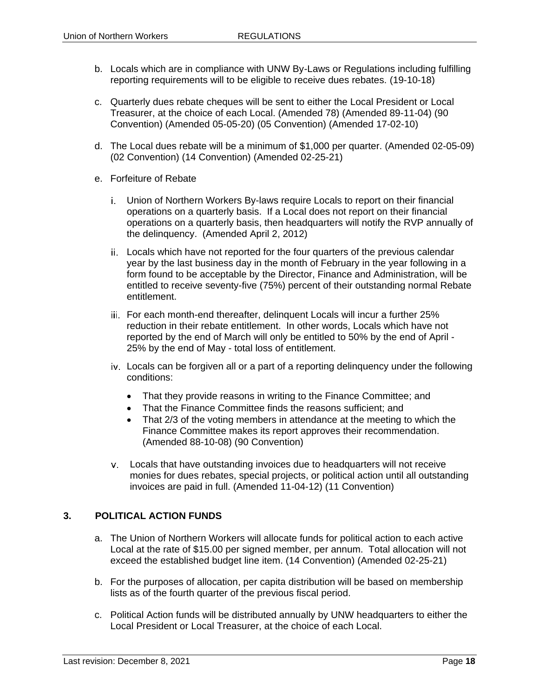- b. Locals which are in compliance with UNW By-Laws or Regulations including fulfilling reporting requirements will to be eligible to receive dues rebates. (19-10-18)
- c. Quarterly dues rebate cheques will be sent to either the Local President or Local Treasurer, at the choice of each Local. (Amended 78) (Amended 89-11-04) (90 Convention) (Amended 05-05-20) (05 Convention) (Amended 17-02-10)
- d. The Local dues rebate will be a minimum of \$1,000 per quarter. (Amended 02-05-09) (02 Convention) (14 Convention) (Amended 02-25-21)
- e. Forfeiture of Rebate
	- Union of Northern Workers By-laws require Locals to report on their financial operations on a quarterly basis. If a Local does not report on their financial operations on a quarterly basis, then headquarters will notify the RVP annually of the delinquency. (Amended April 2, 2012)
	- Locals which have not reported for the four quarters of the previous calendar year by the last business day in the month of February in the year following in a form found to be acceptable by the Director, Finance and Administration, will be entitled to receive seventy-five (75%) percent of their outstanding normal Rebate entitlement.
	- iii. For each month-end thereafter, delinquent Locals will incur a further 25% reduction in their rebate entitlement. In other words, Locals which have not reported by the end of March will only be entitled to 50% by the end of April - 25% by the end of May - total loss of entitlement.
	- Locals can be forgiven all or a part of a reporting delinquency under the following conditions:
		- That they provide reasons in writing to the Finance Committee; and
		- That the Finance Committee finds the reasons sufficient; and
		- That 2/3 of the voting members in attendance at the meeting to which the Finance Committee makes its report approves their recommendation. (Amended 88-10-08) (90 Convention)
	- Locals that have outstanding invoices due to headquarters will not receive monies for dues rebates, special projects, or political action until all outstanding invoices are paid in full. (Amended 11-04-12) (11 Convention)

#### <span id="page-19-0"></span>**3. POLITICAL ACTION FUNDS**

- a. The Union of Northern Workers will allocate funds for political action to each active Local at the rate of \$15.00 per signed member, per annum. Total allocation will not exceed the established budget line item. (14 Convention) (Amended 02-25-21)
- b. For the purposes of allocation, per capita distribution will be based on membership lists as of the fourth quarter of the previous fiscal period.
- c. Political Action funds will be distributed annually by UNW headquarters to either the Local President or Local Treasurer, at the choice of each Local.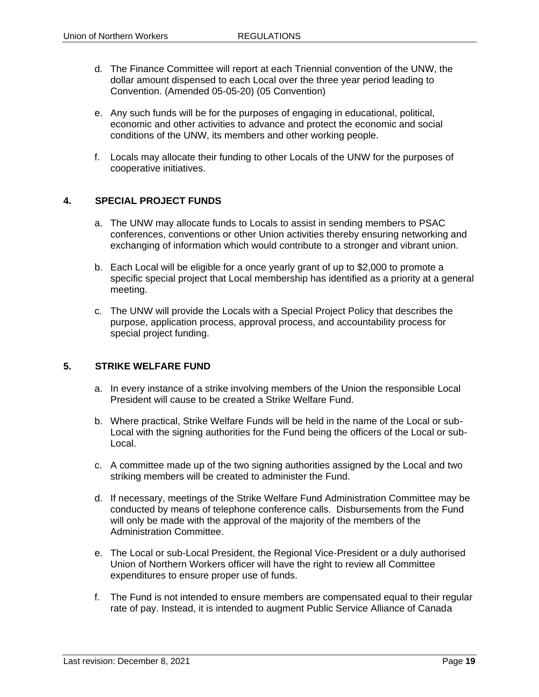- d. The Finance Committee will report at each Triennial convention of the UNW, the dollar amount dispensed to each Local over the three year period leading to Convention. (Amended 05-05-20) (05 Convention)
- e. Any such funds will be for the purposes of engaging in educational, political, economic and other activities to advance and protect the economic and social conditions of the UNW, its members and other working people.
- f. Locals may allocate their funding to other Locals of the UNW for the purposes of cooperative initiatives.

#### <span id="page-20-0"></span>**4. SPECIAL PROJECT FUNDS**

- a. The UNW may allocate funds to Locals to assist in sending members to PSAC conferences, conventions or other Union activities thereby ensuring networking and exchanging of information which would contribute to a stronger and vibrant union.
- b. Each Local will be eligible for a once yearly grant of up to \$2,000 to promote a specific special project that Local membership has identified as a priority at a general meeting.
- c. The UNW will provide the Locals with a Special Project Policy that describes the purpose, application process, approval process, and accountability process for special project funding.

#### <span id="page-20-1"></span>**5. STRIKE WELFARE FUND**

- a. In every instance of a strike involving members of the Union the responsible Local President will cause to be created a Strike Welfare Fund.
- b. Where practical, Strike Welfare Funds will be held in the name of the Local or sub-Local with the signing authorities for the Fund being the officers of the Local or sub-Local.
- c. A committee made up of the two signing authorities assigned by the Local and two striking members will be created to administer the Fund.
- d. If necessary, meetings of the Strike Welfare Fund Administration Committee may be conducted by means of telephone conference calls. Disbursements from the Fund will only be made with the approval of the majority of the members of the Administration Committee.
- e. The Local or sub-Local President, the Regional Vice-President or a duly authorised Union of Northern Workers officer will have the right to review all Committee expenditures to ensure proper use of funds.
- f. The Fund is not intended to ensure members are compensated equal to their regular rate of pay. Instead, it is intended to augment Public Service Alliance of Canada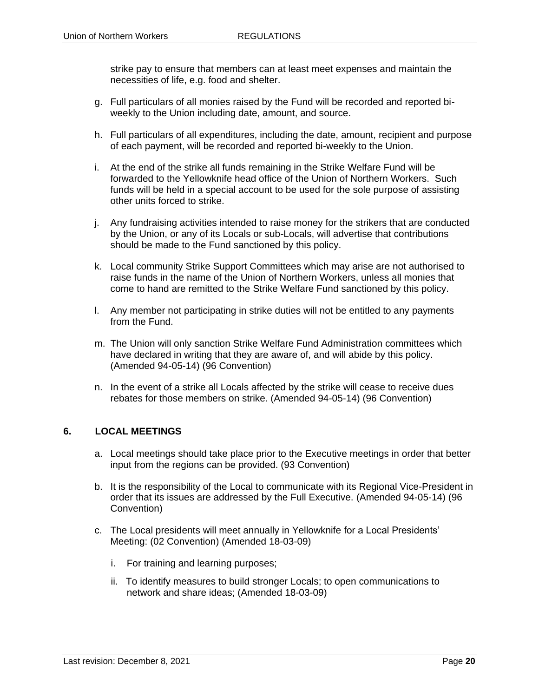strike pay to ensure that members can at least meet expenses and maintain the necessities of life, e.g. food and shelter.

- g. Full particulars of all monies raised by the Fund will be recorded and reported biweekly to the Union including date, amount, and source.
- h. Full particulars of all expenditures, including the date, amount, recipient and purpose of each payment, will be recorded and reported bi-weekly to the Union.
- i. At the end of the strike all funds remaining in the Strike Welfare Fund will be forwarded to the Yellowknife head office of the Union of Northern Workers. Such funds will be held in a special account to be used for the sole purpose of assisting other units forced to strike.
- j. Any fundraising activities intended to raise money for the strikers that are conducted by the Union, or any of its Locals or sub-Locals, will advertise that contributions should be made to the Fund sanctioned by this policy.
- k. Local community Strike Support Committees which may arise are not authorised to raise funds in the name of the Union of Northern Workers, unless all monies that come to hand are remitted to the Strike Welfare Fund sanctioned by this policy.
- l. Any member not participating in strike duties will not be entitled to any payments from the Fund.
- m. The Union will only sanction Strike Welfare Fund Administration committees which have declared in writing that they are aware of, and will abide by this policy. (Amended 94-05-14) (96 Convention)
- n. In the event of a strike all Locals affected by the strike will cease to receive dues rebates for those members on strike. (Amended 94-05-14) (96 Convention)

#### <span id="page-21-0"></span>**6. LOCAL MEETINGS**

- a. Local meetings should take place prior to the Executive meetings in order that better input from the regions can be provided. (93 Convention)
- b. It is the responsibility of the Local to communicate with its Regional Vice-President in order that its issues are addressed by the Full Executive. (Amended 94-05-14) (96 Convention)
- c. The Local presidents will meet annually in Yellowknife for a Local Presidents' Meeting: (02 Convention) (Amended 18-03-09)
	- i. For training and learning purposes;
	- ii. To identify measures to build stronger Locals; to open communications to network and share ideas; (Amended 18-03-09)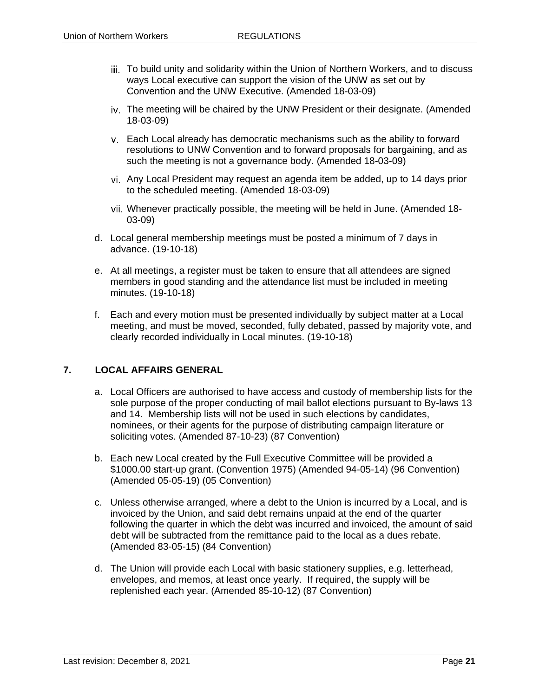- iii. To build unity and solidarity within the Union of Northern Workers, and to discuss ways Local executive can support the vision of the UNW as set out by Convention and the UNW Executive. (Amended 18-03-09)
- iv. The meeting will be chaired by the UNW President or their designate. (Amended 18-03-09)
- Each Local already has democratic mechanisms such as the ability to forward resolutions to UNW Convention and to forward proposals for bargaining, and as such the meeting is not a governance body. (Amended 18-03-09)
- Any Local President may request an agenda item be added, up to 14 days prior to the scheduled meeting. (Amended 18-03-09)
- Whenever practically possible, the meeting will be held in June. (Amended 18- 03-09)
- d. Local general membership meetings must be posted a minimum of 7 days in advance. (19-10-18)
- e. At all meetings, a register must be taken to ensure that all attendees are signed members in good standing and the attendance list must be included in meeting minutes. (19-10-18)
- f. Each and every motion must be presented individually by subject matter at a Local meeting, and must be moved, seconded, fully debated, passed by majority vote, and clearly recorded individually in Local minutes. (19-10-18)

#### <span id="page-22-0"></span>**7. LOCAL AFFAIRS GENERAL**

- a. Local Officers are authorised to have access and custody of membership lists for the sole purpose of the proper conducting of mail ballot elections pursuant to By-laws 13 and 14. Membership lists will not be used in such elections by candidates, nominees, or their agents for the purpose of distributing campaign literature or soliciting votes. (Amended 87-10-23) (87 Convention)
- b. Each new Local created by the Full Executive Committee will be provided a \$1000.00 start-up grant. (Convention 1975) (Amended 94-05-14) (96 Convention) (Amended 05-05-19) (05 Convention)
- c. Unless otherwise arranged, where a debt to the Union is incurred by a Local, and is invoiced by the Union, and said debt remains unpaid at the end of the quarter following the quarter in which the debt was incurred and invoiced, the amount of said debt will be subtracted from the remittance paid to the local as a dues rebate. (Amended 83-05-15) (84 Convention)
- d. The Union will provide each Local with basic stationery supplies, e.g. letterhead, envelopes, and memos, at least once yearly. If required, the supply will be replenished each year. (Amended 85-10-12) (87 Convention)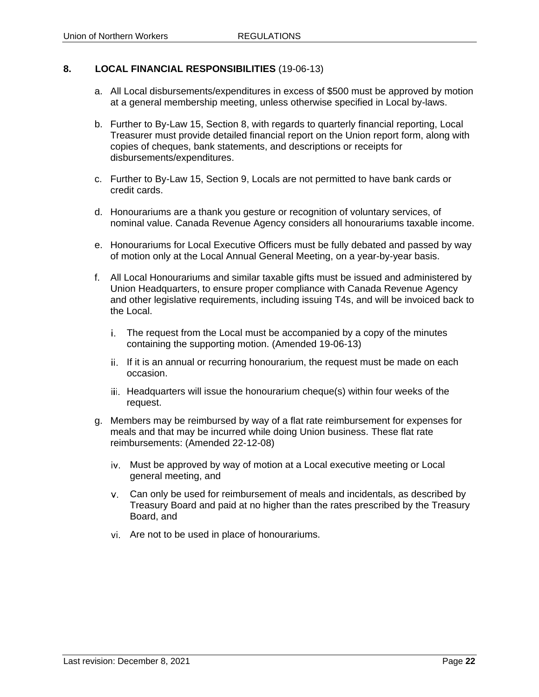#### <span id="page-23-0"></span>**8. LOCAL FINANCIAL RESPONSIBILITIES** (19-06-13)

- a. All Local disbursements/expenditures in excess of \$500 must be approved by motion at a general membership meeting, unless otherwise specified in Local by-laws.
- b. Further to By-Law 15, Section 8, with regards to quarterly financial reporting, Local Treasurer must provide detailed financial report on the Union report form, along with copies of cheques, bank statements, and descriptions or receipts for disbursements/expenditures.
- c. Further to By-Law 15, Section 9, Locals are not permitted to have bank cards or credit cards.
- d. Honourariums are a thank you gesture or recognition of voluntary services, of nominal value. Canada Revenue Agency considers all honourariums taxable income.
- e. Honourariums for Local Executive Officers must be fully debated and passed by way of motion only at the Local Annual General Meeting, on a year-by-year basis.
- f. All Local Honourariums and similar taxable gifts must be issued and administered by Union Headquarters, to ensure proper compliance with Canada Revenue Agency and other legislative requirements, including issuing T4s, and will be invoiced back to the Local.
	- The request from the Local must be accompanied by a copy of the minutes containing the supporting motion. (Amended 19-06-13)
	- ii. If it is an annual or recurring honourarium, the request must be made on each occasion.
	- iii. Headquarters will issue the honourarium cheque(s) within four weeks of the request.
- g. Members may be reimbursed by way of a flat rate reimbursement for expenses for meals and that may be incurred while doing Union business. These flat rate reimbursements: (Amended 22-12-08)
	- iv. Must be approved by way of motion at a Local executive meeting or Local general meeting, and
	- Can only be used for reimbursement of meals and incidentals, as described by Treasury Board and paid at no higher than the rates prescribed by the Treasury Board, and
	- Are not to be used in place of honourariums.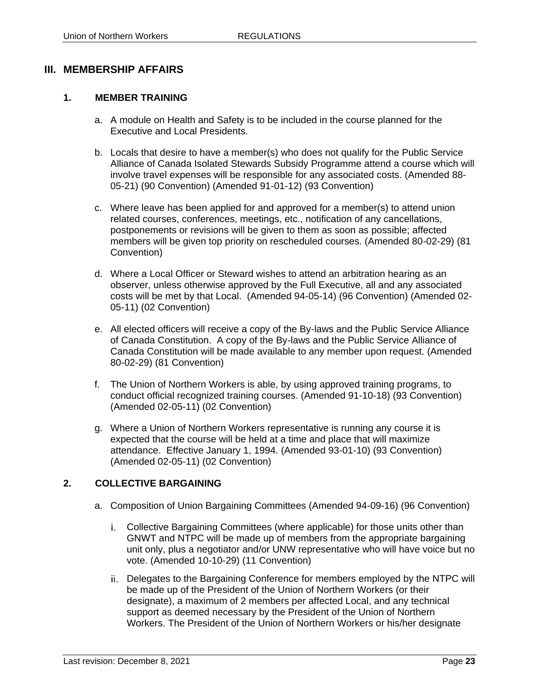# <span id="page-24-0"></span>**III. MEMBERSHIP AFFAIRS**

#### <span id="page-24-1"></span>**1. MEMBER TRAINING**

- a. A module on Health and Safety is to be included in the course planned for the Executive and Local Presidents.
- b. Locals that desire to have a member(s) who does not qualify for the Public Service Alliance of Canada Isolated Stewards Subsidy Programme attend a course which will involve travel expenses will be responsible for any associated costs. (Amended 88- 05-21) (90 Convention) (Amended 91-01-12) (93 Convention)
- c. Where leave has been applied for and approved for a member(s) to attend union related courses, conferences, meetings, etc., notification of any cancellations, postponements or revisions will be given to them as soon as possible; affected members will be given top priority on rescheduled courses. (Amended 80-02-29) (81 Convention)
- d. Where a Local Officer or Steward wishes to attend an arbitration hearing as an observer, unless otherwise approved by the Full Executive, all and any associated costs will be met by that Local. (Amended 94-05-14) (96 Convention) (Amended 02- 05-11) (02 Convention)
- e. All elected officers will receive a copy of the By-laws and the Public Service Alliance of Canada Constitution. A copy of the By-laws and the Public Service Alliance of Canada Constitution will be made available to any member upon request. (Amended 80-02-29) (81 Convention)
- f. The Union of Northern Workers is able, by using approved training programs, to conduct official recognized training courses. (Amended 91-10-18) (93 Convention) (Amended 02-05-11) (02 Convention)
- g. Where a Union of Northern Workers representative is running any course it is expected that the course will be held at a time and place that will maximize attendance. Effective January 1, 1994. (Amended 93-01-10) (93 Convention) (Amended 02-05-11) (02 Convention)

#### <span id="page-24-2"></span>**2. COLLECTIVE BARGAINING**

- a. Composition of Union Bargaining Committees (Amended 94-09-16) (96 Convention)
	- Collective Bargaining Committees (where applicable) for those units other than GNWT and NTPC will be made up of members from the appropriate bargaining unit only, plus a negotiator and/or UNW representative who will have voice but no vote. (Amended 10-10-29) (11 Convention)
	- ii. Delegates to the Bargaining Conference for members employed by the NTPC will be made up of the President of the Union of Northern Workers (or their designate), a maximum of 2 members per affected Local, and any technical support as deemed necessary by the President of the Union of Northern Workers. The President of the Union of Northern Workers or his/her designate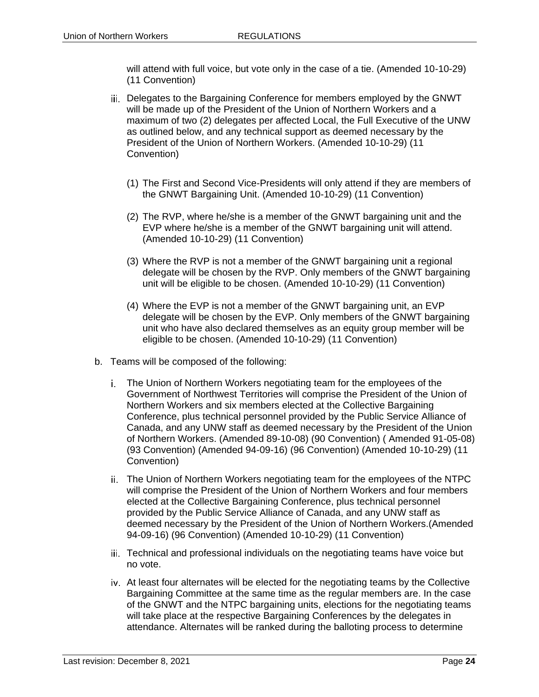will attend with full voice, but vote only in the case of a tie. (Amended 10-10-29) (11 Convention)

- iii. Delegates to the Bargaining Conference for members employed by the GNWT will be made up of the President of the Union of Northern Workers and a maximum of two (2) delegates per affected Local, the Full Executive of the UNW as outlined below, and any technical support as deemed necessary by the President of the Union of Northern Workers. (Amended 10-10-29) (11 Convention)
	- (1) The First and Second Vice-Presidents will only attend if they are members of the GNWT Bargaining Unit. (Amended 10-10-29) (11 Convention)
	- (2) The RVP, where he/she is a member of the GNWT bargaining unit and the EVP where he/she is a member of the GNWT bargaining unit will attend. (Amended 10-10-29) (11 Convention)
	- (3) Where the RVP is not a member of the GNWT bargaining unit a regional delegate will be chosen by the RVP. Only members of the GNWT bargaining unit will be eligible to be chosen. (Amended 10-10-29) (11 Convention)
	- (4) Where the EVP is not a member of the GNWT bargaining unit, an EVP delegate will be chosen by the EVP. Only members of the GNWT bargaining unit who have also declared themselves as an equity group member will be eligible to be chosen. (Amended 10-10-29) (11 Convention)
- b. Teams will be composed of the following:
	- The Union of Northern Workers negotiating team for the employees of the Government of Northwest Territories will comprise the President of the Union of Northern Workers and six members elected at the Collective Bargaining Conference, plus technical personnel provided by the Public Service Alliance of Canada, and any UNW staff as deemed necessary by the President of the Union of Northern Workers. (Amended 89-10-08) (90 Convention) ( Amended 91-05-08) (93 Convention) (Amended 94-09-16) (96 Convention) (Amended 10-10-29) (11 Convention)
	- ii. The Union of Northern Workers negotiating team for the employees of the NTPC will comprise the President of the Union of Northern Workers and four members elected at the Collective Bargaining Conference, plus technical personnel provided by the Public Service Alliance of Canada, and any UNW staff as deemed necessary by the President of the Union of Northern Workers.(Amended 94-09-16) (96 Convention) (Amended 10-10-29) (11 Convention)
	- iii. Technical and professional individuals on the negotiating teams have voice but no vote.
	- At least four alternates will be elected for the negotiating teams by the Collective Bargaining Committee at the same time as the regular members are. In the case of the GNWT and the NTPC bargaining units, elections for the negotiating teams will take place at the respective Bargaining Conferences by the delegates in attendance. Alternates will be ranked during the balloting process to determine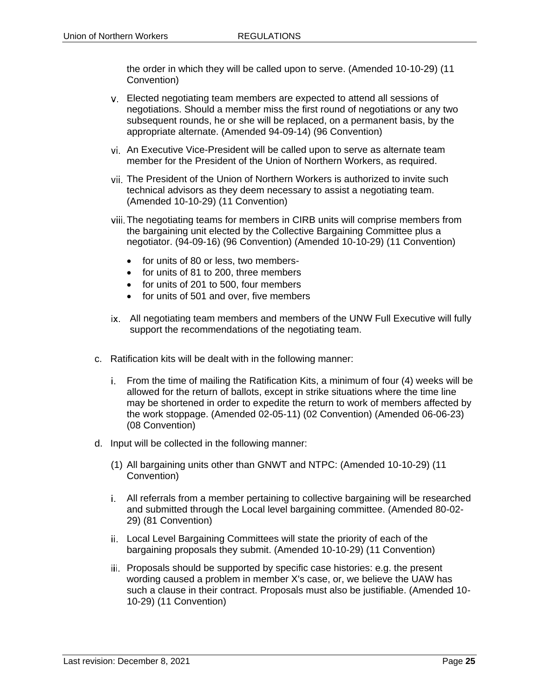the order in which they will be called upon to serve. (Amended 10-10-29) (11 Convention)

- Elected negotiating team members are expected to attend all sessions of negotiations. Should a member miss the first round of negotiations or any two subsequent rounds, he or she will be replaced, on a permanent basis, by the appropriate alternate. (Amended 94-09-14) (96 Convention)
- An Executive Vice-President will be called upon to serve as alternate team member for the President of the Union of Northern Workers, as required.
- The President of the Union of Northern Workers is authorized to invite such technical advisors as they deem necessary to assist a negotiating team. (Amended 10-10-29) (11 Convention)
- The negotiating teams for members in CIRB units will comprise members from the bargaining unit elected by the Collective Bargaining Committee plus a negotiator. (94-09-16) (96 Convention) (Amended 10-10-29) (11 Convention)
	- for units of 80 or less, two members-
	- for units of 81 to 200, three members
	- for units of 201 to 500, four members
	- for units of 501 and over, five members
- All negotiating team members and members of the UNW Full Executive will fully support the recommendations of the negotiating team.
- c. Ratification kits will be dealt with in the following manner:
	- From the time of mailing the Ratification Kits, a minimum of four (4) weeks will be allowed for the return of ballots, except in strike situations where the time line may be shortened in order to expedite the return to work of members affected by the work stoppage. (Amended 02-05-11) (02 Convention) (Amended 06-06-23) (08 Convention)
- d. Input will be collected in the following manner:
	- (1) All bargaining units other than GNWT and NTPC: (Amended 10-10-29) (11 Convention)
	- All referrals from a member pertaining to collective bargaining will be researched and submitted through the Local level bargaining committee. (Amended 80-02- 29) (81 Convention)
	- Local Level Bargaining Committees will state the priority of each of the bargaining proposals they submit. (Amended 10-10-29) (11 Convention)
	- iii. Proposals should be supported by specific case histories: e.g. the present wording caused a problem in member X's case, or, we believe the UAW has such a clause in their contract. Proposals must also be justifiable. (Amended 10- 10-29) (11 Convention)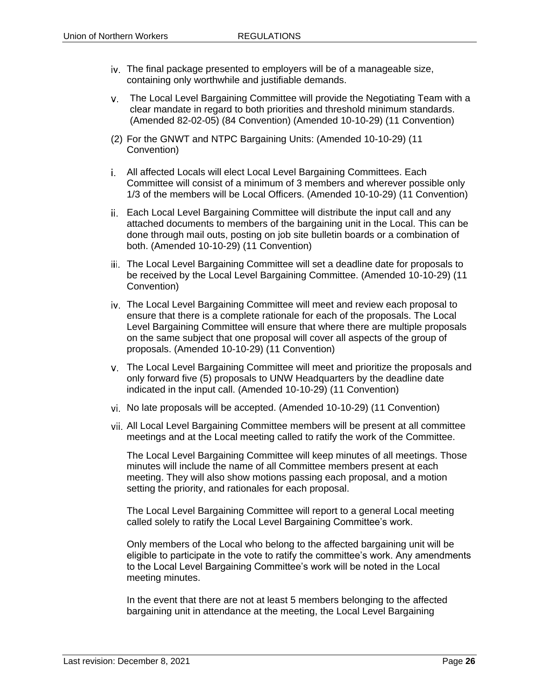- iv. The final package presented to employers will be of a manageable size, containing only worthwhile and justifiable demands.
- The Local Level Bargaining Committee will provide the Negotiating Team with a clear mandate in regard to both priorities and threshold minimum standards. (Amended 82-02-05) (84 Convention) (Amended 10-10-29) (11 Convention)
- (2) For the GNWT and NTPC Bargaining Units: (Amended 10-10-29) (11 Convention)
- All affected Locals will elect Local Level Bargaining Committees. Each Committee will consist of a minimum of 3 members and wherever possible only 1/3 of the members will be Local Officers. (Amended 10-10-29) (11 Convention)
- ii. Each Local Level Bargaining Committee will distribute the input call and any attached documents to members of the bargaining unit in the Local. This can be done through mail outs, posting on job site bulletin boards or a combination of both. (Amended 10-10-29) (11 Convention)
- The Local Level Bargaining Committee will set a deadline date for proposals to be received by the Local Level Bargaining Committee. (Amended 10-10-29) (11 Convention)
- The Local Level Bargaining Committee will meet and review each proposal to ensure that there is a complete rationale for each of the proposals. The Local Level Bargaining Committee will ensure that where there are multiple proposals on the same subject that one proposal will cover all aspects of the group of proposals. (Amended 10-10-29) (11 Convention)
- The Local Level Bargaining Committee will meet and prioritize the proposals and only forward five (5) proposals to UNW Headquarters by the deadline date indicated in the input call. (Amended 10-10-29) (11 Convention)
- vi. No late proposals will be accepted. (Amended 10-10-29) (11 Convention)
- All Local Level Bargaining Committee members will be present at all committee meetings and at the Local meeting called to ratify the work of the Committee.

The Local Level Bargaining Committee will keep minutes of all meetings. Those minutes will include the name of all Committee members present at each meeting. They will also show motions passing each proposal, and a motion setting the priority, and rationales for each proposal.

The Local Level Bargaining Committee will report to a general Local meeting called solely to ratify the Local Level Bargaining Committee's work.

Only members of the Local who belong to the affected bargaining unit will be eligible to participate in the vote to ratify the committee's work. Any amendments to the Local Level Bargaining Committee's work will be noted in the Local meeting minutes.

In the event that there are not at least 5 members belonging to the affected bargaining unit in attendance at the meeting, the Local Level Bargaining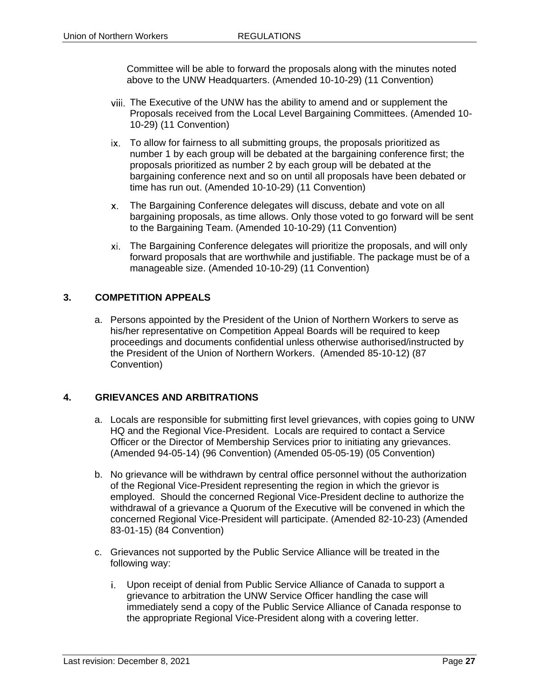Committee will be able to forward the proposals along with the minutes noted above to the UNW Headquarters. (Amended 10-10-29) (11 Convention)

- The Executive of the UNW has the ability to amend and or supplement the Proposals received from the Local Level Bargaining Committees. (Amended 10- 10-29) (11 Convention)
- ix. To allow for fairness to all submitting groups, the proposals prioritized as number 1 by each group will be debated at the bargaining conference first; the proposals prioritized as number 2 by each group will be debated at the bargaining conference next and so on until all proposals have been debated or time has run out. (Amended 10-10-29) (11 Convention)
- The Bargaining Conference delegates will discuss, debate and vote on all bargaining proposals, as time allows. Only those voted to go forward will be sent to the Bargaining Team. (Amended 10-10-29) (11 Convention)
- The Bargaining Conference delegates will prioritize the proposals, and will only forward proposals that are worthwhile and justifiable. The package must be of a manageable size. (Amended 10-10-29) (11 Convention)

# <span id="page-28-0"></span>**3. COMPETITION APPEALS**

a. Persons appointed by the President of the Union of Northern Workers to serve as his/her representative on Competition Appeal Boards will be required to keep proceedings and documents confidential unless otherwise authorised/instructed by the President of the Union of Northern Workers. (Amended 85-10-12) (87 Convention)

# <span id="page-28-1"></span>**4. GRIEVANCES AND ARBITRATIONS**

- a. Locals are responsible for submitting first level grievances, with copies going to UNW HQ and the Regional Vice-President. Locals are required to contact a Service Officer or the Director of Membership Services prior to initiating any grievances. (Amended 94-05-14) (96 Convention) (Amended 05-05-19) (05 Convention)
- b. No grievance will be withdrawn by central office personnel without the authorization of the Regional Vice-President representing the region in which the grievor is employed. Should the concerned Regional Vice-President decline to authorize the withdrawal of a grievance a Quorum of the Executive will be convened in which the concerned Regional Vice-President will participate. (Amended 82-10-23) (Amended 83-01-15) (84 Convention)
- c. Grievances not supported by the Public Service Alliance will be treated in the following way:
	- Upon receipt of denial from Public Service Alliance of Canada to support a grievance to arbitration the UNW Service Officer handling the case will immediately send a copy of the Public Service Alliance of Canada response to the appropriate Regional Vice-President along with a covering letter.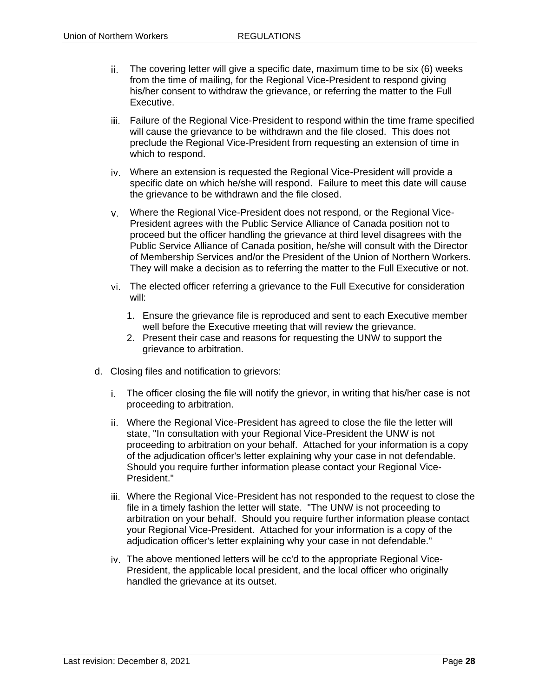- The covering letter will give a specific date, maximum time to be six (6) weeks ii. from the time of mailing, for the Regional Vice-President to respond giving his/her consent to withdraw the grievance, or referring the matter to the Full Executive.
- iii. Failure of the Regional Vice-President to respond within the time frame specified will cause the grievance to be withdrawn and the file closed. This does not preclude the Regional Vice-President from requesting an extension of time in which to respond.
- Where an extension is requested the Regional Vice-President will provide a specific date on which he/she will respond. Failure to meet this date will cause the grievance to be withdrawn and the file closed.
- Where the Regional Vice-President does not respond, or the Regional Vice-President agrees with the Public Service Alliance of Canada position not to proceed but the officer handling the grievance at third level disagrees with the Public Service Alliance of Canada position, he/she will consult with the Director of Membership Services and/or the President of the Union of Northern Workers. They will make a decision as to referring the matter to the Full Executive or not.
- The elected officer referring a grievance to the Full Executive for consideration will:
	- 1. Ensure the grievance file is reproduced and sent to each Executive member well before the Executive meeting that will review the grievance.
	- 2. Present their case and reasons for requesting the UNW to support the grievance to arbitration.
- d. Closing files and notification to grievors:
	- The officer closing the file will notify the grievor, in writing that his/her case is not proceeding to arbitration.
	- Where the Regional Vice-President has agreed to close the file the letter will state, "In consultation with your Regional Vice-President the UNW is not proceeding to arbitration on your behalf. Attached for your information is a copy of the adjudication officer's letter explaining why your case in not defendable. Should you require further information please contact your Regional Vice-President."
	- Where the Regional Vice-President has not responded to the request to close the file in a timely fashion the letter will state. "The UNW is not proceeding to arbitration on your behalf. Should you require further information please contact your Regional Vice-President. Attached for your information is a copy of the adjudication officer's letter explaining why your case in not defendable."
	- The above mentioned letters will be cc'd to the appropriate Regional Vice-President, the applicable local president, and the local officer who originally handled the grievance at its outset.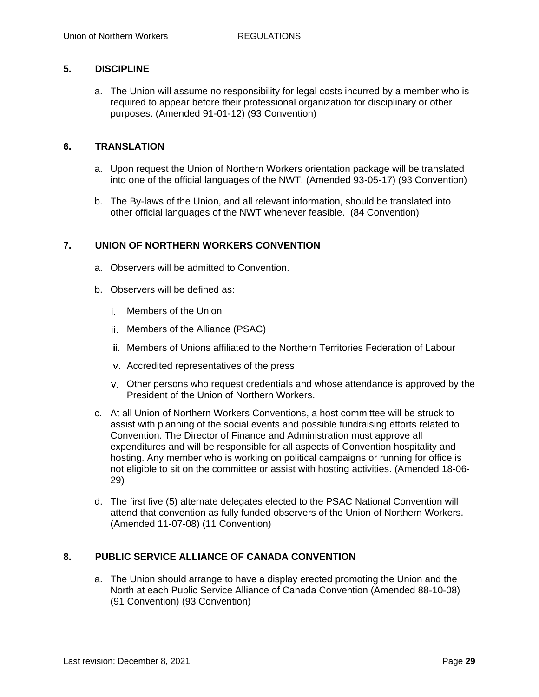#### <span id="page-30-0"></span>**5. DISCIPLINE**

a. The Union will assume no responsibility for legal costs incurred by a member who is required to appear before their professional organization for disciplinary or other purposes. (Amended 91-01-12) (93 Convention)

#### <span id="page-30-1"></span>**6. TRANSLATION**

- a. Upon request the Union of Northern Workers orientation package will be translated into one of the official languages of the NWT. (Amended 93-05-17) (93 Convention)
- b. The By-laws of the Union, and all relevant information, should be translated into other official languages of the NWT whenever feasible. (84 Convention)

#### <span id="page-30-2"></span>**7. UNION OF NORTHERN WORKERS CONVENTION**

- a. Observers will be admitted to Convention.
- b. Observers will be defined as:
	- Members of the Union
	- ii. Members of the Alliance (PSAC)
	- Members of Unions affiliated to the Northern Territories Federation of Labour
	- Accredited representatives of the press
	- Other persons who request credentials and whose attendance is approved by the President of the Union of Northern Workers.
- c. At all Union of Northern Workers Conventions, a host committee will be struck to assist with planning of the social events and possible fundraising efforts related to Convention. The Director of Finance and Administration must approve all expenditures and will be responsible for all aspects of Convention hospitality and hosting. Any member who is working on political campaigns or running for office is not eligible to sit on the committee or assist with hosting activities. (Amended 18-06- 29)
- d. The first five (5) alternate delegates elected to the PSAC National Convention will attend that convention as fully funded observers of the Union of Northern Workers. (Amended 11-07-08) (11 Convention)

# <span id="page-30-3"></span>**8. PUBLIC SERVICE ALLIANCE OF CANADA CONVENTION**

a. The Union should arrange to have a display erected promoting the Union and the North at each Public Service Alliance of Canada Convention (Amended 88-10-08) (91 Convention) (93 Convention)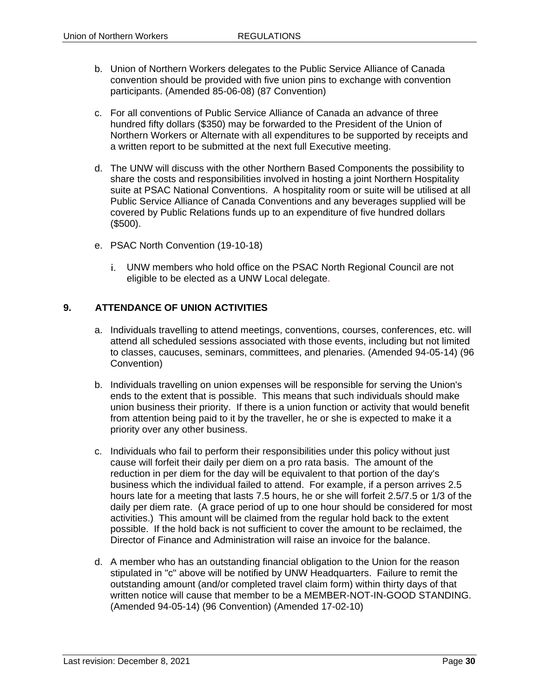- b. Union of Northern Workers delegates to the Public Service Alliance of Canada convention should be provided with five union pins to exchange with convention participants. (Amended 85-06-08) (87 Convention)
- c. For all conventions of Public Service Alliance of Canada an advance of three hundred fifty dollars (\$350) may be forwarded to the President of the Union of Northern Workers or Alternate with all expenditures to be supported by receipts and a written report to be submitted at the next full Executive meeting.
- d. The UNW will discuss with the other Northern Based Components the possibility to share the costs and responsibilities involved in hosting a joint Northern Hospitality suite at PSAC National Conventions. A hospitality room or suite will be utilised at all Public Service Alliance of Canada Conventions and any beverages supplied will be covered by Public Relations funds up to an expenditure of five hundred dollars (\$500).
- e. PSAC North Convention (19-10-18)
	- UNW members who hold office on the PSAC North Regional Council are not eligible to be elected as a UNW Local delegate.

#### <span id="page-31-0"></span>**9. ATTENDANCE OF UNION ACTIVITIES**

- a. Individuals travelling to attend meetings, conventions, courses, conferences, etc. will attend all scheduled sessions associated with those events, including but not limited to classes, caucuses, seminars, committees, and plenaries. (Amended 94-05-14) (96 Convention)
- b. Individuals travelling on union expenses will be responsible for serving the Union's ends to the extent that is possible. This means that such individuals should make union business their priority. If there is a union function or activity that would benefit from attention being paid to it by the traveller, he or she is expected to make it a priority over any other business.
- c. Individuals who fail to perform their responsibilities under this policy without just cause will forfeit their daily per diem on a pro rata basis. The amount of the reduction in per diem for the day will be equivalent to that portion of the day's business which the individual failed to attend. For example, if a person arrives 2.5 hours late for a meeting that lasts 7.5 hours, he or she will forfeit 2.5/7.5 or 1/3 of the daily per diem rate. (A grace period of up to one hour should be considered for most activities.) This amount will be claimed from the regular hold back to the extent possible. If the hold back is not sufficient to cover the amount to be reclaimed, the Director of Finance and Administration will raise an invoice for the balance.
- d. A member who has an outstanding financial obligation to the Union for the reason stipulated in "c" above will be notified by UNW Headquarters. Failure to remit the outstanding amount (and/or completed travel claim form) within thirty days of that written notice will cause that member to be a MEMBER-NOT-IN-GOOD STANDING. (Amended 94-05-14) (96 Convention) (Amended 17-02-10)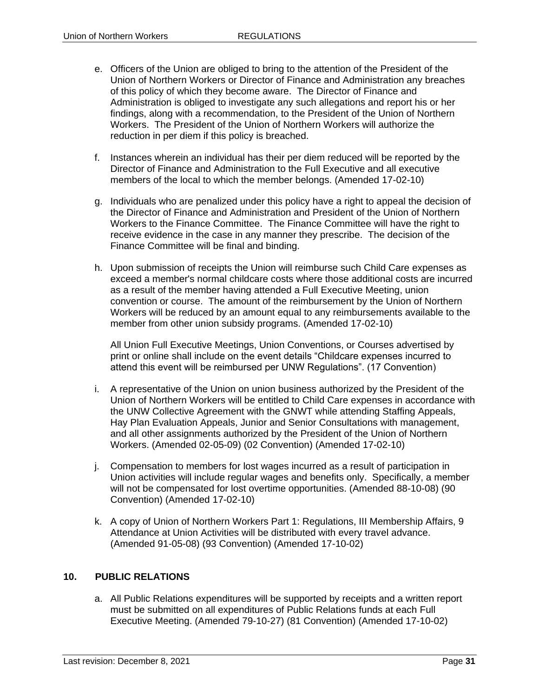- e. Officers of the Union are obliged to bring to the attention of the President of the Union of Northern Workers or Director of Finance and Administration any breaches of this policy of which they become aware. The Director of Finance and Administration is obliged to investigate any such allegations and report his or her findings, along with a recommendation, to the President of the Union of Northern Workers. The President of the Union of Northern Workers will authorize the reduction in per diem if this policy is breached.
- f. Instances wherein an individual has their per diem reduced will be reported by the Director of Finance and Administration to the Full Executive and all executive members of the local to which the member belongs. (Amended 17-02-10)
- g. Individuals who are penalized under this policy have a right to appeal the decision of the Director of Finance and Administration and President of the Union of Northern Workers to the Finance Committee. The Finance Committee will have the right to receive evidence in the case in any manner they prescribe. The decision of the Finance Committee will be final and binding.
- h. Upon submission of receipts the Union will reimburse such Child Care expenses as exceed a member's normal childcare costs where those additional costs are incurred as a result of the member having attended a Full Executive Meeting, union convention or course. The amount of the reimbursement by the Union of Northern Workers will be reduced by an amount equal to any reimbursements available to the member from other union subsidy programs. (Amended 17-02-10)

All Union Full Executive Meetings, Union Conventions, or Courses advertised by print or online shall include on the event details "Childcare expenses incurred to attend this event will be reimbursed per UNW Regulations". (17 Convention)

- i. A representative of the Union on union business authorized by the President of the Union of Northern Workers will be entitled to Child Care expenses in accordance with the UNW Collective Agreement with the GNWT while attending Staffing Appeals, Hay Plan Evaluation Appeals, Junior and Senior Consultations with management, and all other assignments authorized by the President of the Union of Northern Workers. (Amended 02-05-09) (02 Convention) (Amended 17-02-10)
- j. Compensation to members for lost wages incurred as a result of participation in Union activities will include regular wages and benefits only. Specifically, a member will not be compensated for lost overtime opportunities. (Amended 88-10-08) (90 Convention) (Amended 17-02-10)
- k. A copy of Union of Northern Workers Part 1: Regulations, III Membership Affairs, 9 Attendance at Union Activities will be distributed with every travel advance. (Amended 91-05-08) (93 Convention) (Amended 17-10-02)

#### <span id="page-32-0"></span>**10. PUBLIC RELATIONS**

a. All Public Relations expenditures will be supported by receipts and a written report must be submitted on all expenditures of Public Relations funds at each Full Executive Meeting. (Amended 79-10-27) (81 Convention) (Amended 17-10-02)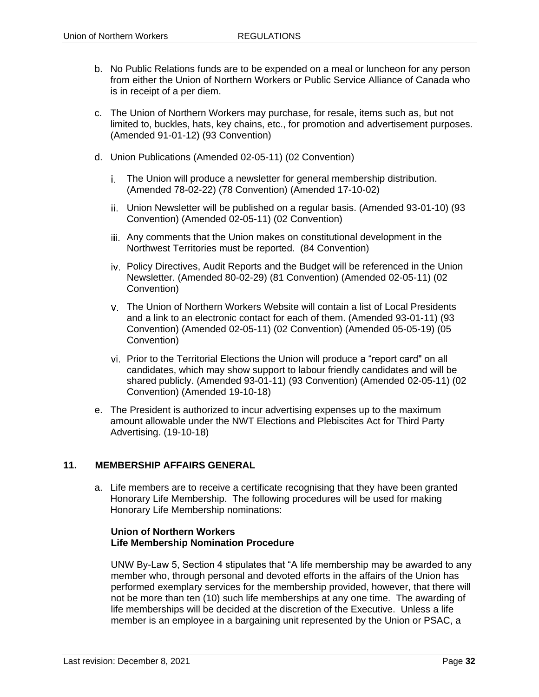- b. No Public Relations funds are to be expended on a meal or luncheon for any person from either the Union of Northern Workers or Public Service Alliance of Canada who is in receipt of a per diem.
- c. The Union of Northern Workers may purchase, for resale, items such as, but not limited to, buckles, hats, key chains, etc., for promotion and advertisement purposes. (Amended 91-01-12) (93 Convention)
- d. Union Publications (Amended 02-05-11) (02 Convention)
	- The Union will produce a newsletter for general membership distribution. (Amended 78-02-22) (78 Convention) (Amended 17-10-02)
	- Union Newsletter will be published on a regular basis. (Amended 93-01-10) (93 Convention) (Amended 02-05-11) (02 Convention)
	- Any comments that the Union makes on constitutional development in the Northwest Territories must be reported. (84 Convention)
	- iv. Policy Directives, Audit Reports and the Budget will be referenced in the Union Newsletter. (Amended 80-02-29) (81 Convention) (Amended 02-05-11) (02 Convention)
	- The Union of Northern Workers Website will contain a list of Local Presidents and a link to an electronic contact for each of them. (Amended 93-01-11) (93 Convention) (Amended 02-05-11) (02 Convention) (Amended 05-05-19) (05 Convention)
	- Prior to the Territorial Elections the Union will produce a "report card" on all candidates, which may show support to labour friendly candidates and will be shared publicly. (Amended 93-01-11) (93 Convention) (Amended 02-05-11) (02 Convention) (Amended 19-10-18)
- e. The President is authorized to incur advertising expenses up to the maximum amount allowable under the NWT Elections and Plebiscites Act for Third Party Advertising. (19-10-18)

#### <span id="page-33-0"></span>**11. MEMBERSHIP AFFAIRS GENERAL**

a. Life members are to receive a certificate recognising that they have been granted Honorary Life Membership. The following procedures will be used for making Honorary Life Membership nominations:

#### **Union of Northern Workers Life Membership Nomination Procedure**

UNW By-Law 5, Section 4 stipulates that "A life membership may be awarded to any member who, through personal and devoted efforts in the affairs of the Union has performed exemplary services for the membership provided, however, that there will not be more than ten (10) such life memberships at any one time. The awarding of life memberships will be decided at the discretion of the Executive. Unless a life member is an employee in a bargaining unit represented by the Union or PSAC, a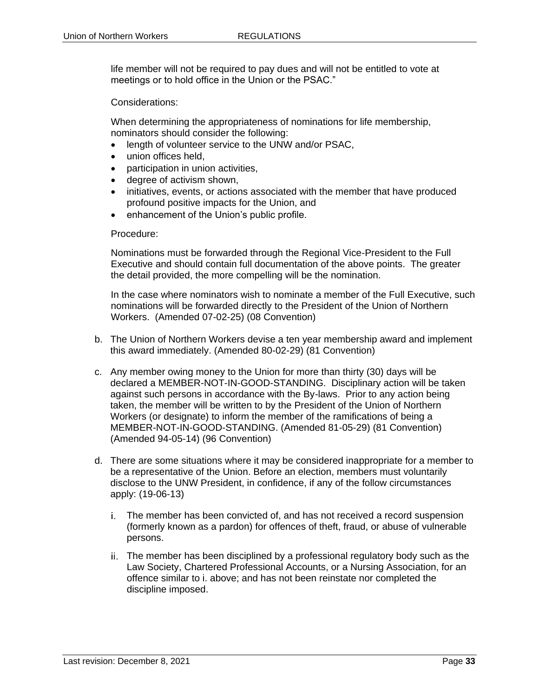life member will not be required to pay dues and will not be entitled to vote at meetings or to hold office in the Union or the PSAC."

Considerations:

When determining the appropriateness of nominations for life membership, nominators should consider the following:

- length of volunteer service to the UNW and/or PSAC,
- union offices held,
- participation in union activities,
- degree of activism shown,
- initiatives, events, or actions associated with the member that have produced profound positive impacts for the Union, and
- enhancement of the Union's public profile.

#### Procedure:

Nominations must be forwarded through the Regional Vice-President to the Full Executive and should contain full documentation of the above points. The greater the detail provided, the more compelling will be the nomination.

In the case where nominators wish to nominate a member of the Full Executive, such nominations will be forwarded directly to the President of the Union of Northern Workers. (Amended 07-02-25) (08 Convention)

- b. The Union of Northern Workers devise a ten year membership award and implement this award immediately. (Amended 80-02-29) (81 Convention)
- c. Any member owing money to the Union for more than thirty (30) days will be declared a MEMBER-NOT-IN-GOOD-STANDING. Disciplinary action will be taken against such persons in accordance with the By-laws. Prior to any action being taken, the member will be written to by the President of the Union of Northern Workers (or designate) to inform the member of the ramifications of being a MEMBER-NOT-IN-GOOD-STANDING. (Amended 81-05-29) (81 Convention) (Amended 94-05-14) (96 Convention)
- d. There are some situations where it may be considered inappropriate for a member to be a representative of the Union. Before an election, members must voluntarily disclose to the UNW President, in confidence, if any of the follow circumstances apply: (19-06-13)
	- The member has been convicted of, and has not received a record suspension (formerly known as a pardon) for offences of theft, fraud, or abuse of vulnerable persons.
	- ii. The member has been disciplined by a professional regulatory body such as the Law Society, Chartered Professional Accounts, or a Nursing Association, for an offence similar to i. above; and has not been reinstate nor completed the discipline imposed.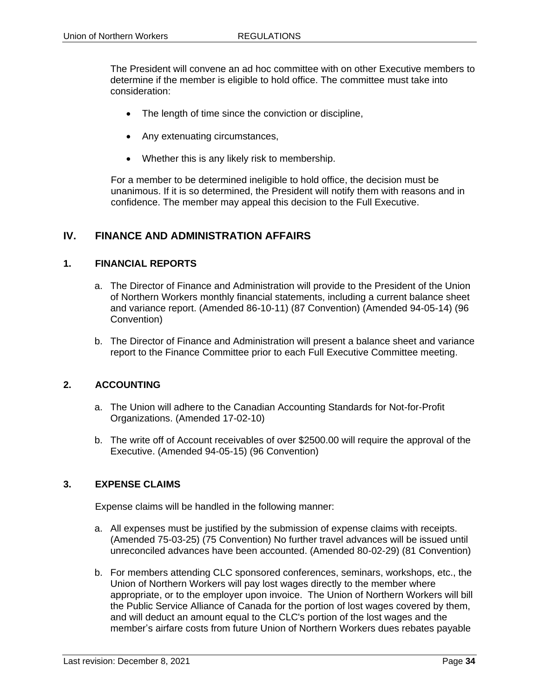The President will convene an ad hoc committee with on other Executive members to determine if the member is eligible to hold office. The committee must take into consideration:

- The length of time since the conviction or discipline,
- Any extenuating circumstances,
- Whether this is any likely risk to membership.

For a member to be determined ineligible to hold office, the decision must be unanimous. If it is so determined, the President will notify them with reasons and in confidence. The member may appeal this decision to the Full Executive.

# <span id="page-35-0"></span>**IV. FINANCE AND ADMINISTRATION AFFAIRS**

#### <span id="page-35-1"></span>**1. FINANCIAL REPORTS**

- a. The Director of Finance and Administration will provide to the President of the Union of Northern Workers monthly financial statements, including a current balance sheet and variance report. (Amended 86-10-11) (87 Convention) (Amended 94-05-14) (96 Convention)
- b. The Director of Finance and Administration will present a balance sheet and variance report to the Finance Committee prior to each Full Executive Committee meeting.

#### <span id="page-35-2"></span>**2. ACCOUNTING**

- a. The Union will adhere to the Canadian Accounting Standards for Not-for-Profit Organizations. (Amended 17-02-10)
- b. The write off of Account receivables of over \$2500.00 will require the approval of the Executive. (Amended 94-05-15) (96 Convention)

#### <span id="page-35-3"></span>**3. EXPENSE CLAIMS**

Expense claims will be handled in the following manner:

- a. All expenses must be justified by the submission of expense claims with receipts. (Amended 75-03-25) (75 Convention) No further travel advances will be issued until unreconciled advances have been accounted. (Amended 80-02-29) (81 Convention)
- b. For members attending CLC sponsored conferences, seminars, workshops, etc., the Union of Northern Workers will pay lost wages directly to the member where appropriate, or to the employer upon invoice. The Union of Northern Workers will bill the Public Service Alliance of Canada for the portion of lost wages covered by them, and will deduct an amount equal to the CLC's portion of the lost wages and the member's airfare costs from future Union of Northern Workers dues rebates payable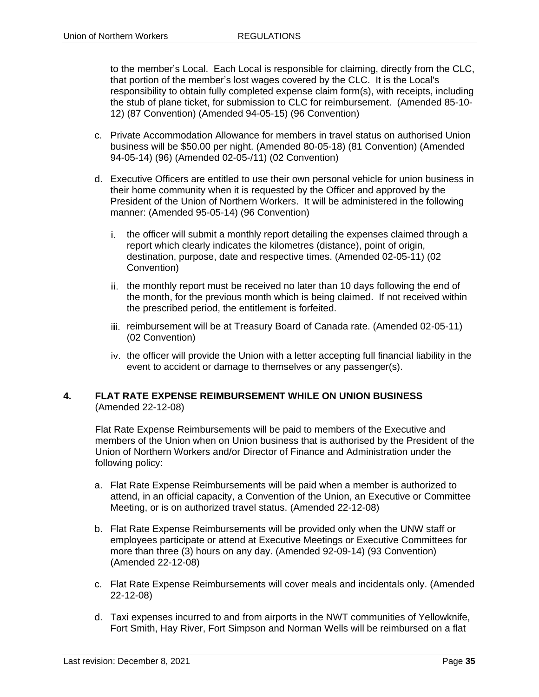to the member's Local. Each Local is responsible for claiming, directly from the CLC, that portion of the member's lost wages covered by the CLC. It is the Local's responsibility to obtain fully completed expense claim form(s), with receipts, including the stub of plane ticket, for submission to CLC for reimbursement. (Amended 85-10- 12) (87 Convention) (Amended 94-05-15) (96 Convention)

- c. Private Accommodation Allowance for members in travel status on authorised Union business will be \$50.00 per night. (Amended 80-05-18) (81 Convention) (Amended 94-05-14) (96) (Amended 02-05-/11) (02 Convention)
- d. Executive Officers are entitled to use their own personal vehicle for union business in their home community when it is requested by the Officer and approved by the President of the Union of Northern Workers. It will be administered in the following manner: (Amended 95-05-14) (96 Convention)
	- i. the officer will submit a monthly report detailing the expenses claimed through a report which clearly indicates the kilometres (distance), point of origin, destination, purpose, date and respective times. (Amended 02-05-11) (02 Convention)
	- ii. the monthly report must be received no later than 10 days following the end of the month, for the previous month which is being claimed. If not received within the prescribed period, the entitlement is forfeited.
	- iii. reimbursement will be at Treasury Board of Canada rate. (Amended 02-05-11) (02 Convention)
	- iv. the officer will provide the Union with a letter accepting full financial liability in the event to accident or damage to themselves or any passenger(s).

#### **4. FLAT RATE EXPENSE REIMBURSEMENT WHILE ON UNION BUSINESS** (Amended 22-12-08)

Flat Rate Expense Reimbursements will be paid to members of the Executive and members of the Union when on Union business that is authorised by the President of the Union of Northern Workers and/or Director of Finance and Administration under the following policy:

- a. Flat Rate Expense Reimbursements will be paid when a member is authorized to attend, in an official capacity, a Convention of the Union, an Executive or Committee Meeting, or is on authorized travel status. (Amended 22-12-08)
- b. Flat Rate Expense Reimbursements will be provided only when the UNW staff or employees participate or attend at Executive Meetings or Executive Committees for more than three (3) hours on any day. (Amended 92-09-14) (93 Convention) (Amended 22-12-08)
- c. Flat Rate Expense Reimbursements will cover meals and incidentals only. (Amended 22-12-08)
- d. Taxi expenses incurred to and from airports in the NWT communities of Yellowknife, Fort Smith, Hay River, Fort Simpson and Norman Wells will be reimbursed on a flat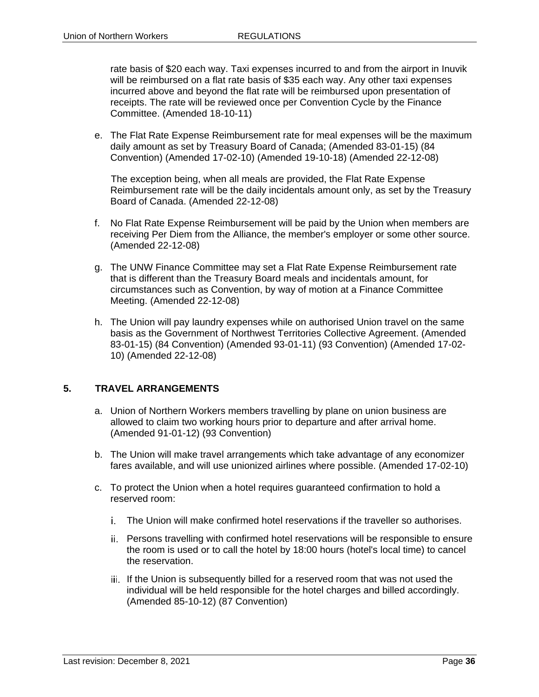rate basis of \$20 each way. Taxi expenses incurred to and from the airport in Inuvik will be reimbursed on a flat rate basis of \$35 each way. Any other taxi expenses incurred above and beyond the flat rate will be reimbursed upon presentation of receipts. The rate will be reviewed once per Convention Cycle by the Finance Committee. (Amended 18-10-11)

e. The Flat Rate Expense Reimbursement rate for meal expenses will be the maximum daily amount as set by Treasury Board of Canada; (Amended 83-01-15) (84 Convention) (Amended 17-02-10) (Amended 19-10-18) (Amended 22-12-08)

The exception being, when all meals are provided, the Flat Rate Expense Reimbursement rate will be the daily incidentals amount only, as set by the Treasury Board of Canada. (Amended 22-12-08)

- f. No Flat Rate Expense Reimbursement will be paid by the Union when members are receiving Per Diem from the Alliance, the member's employer or some other source. (Amended 22-12-08)
- g. The UNW Finance Committee may set a Flat Rate Expense Reimbursement rate that is different than the Treasury Board meals and incidentals amount, for circumstances such as Convention, by way of motion at a Finance Committee Meeting. (Amended 22-12-08)
- h. The Union will pay laundry expenses while on authorised Union travel on the same basis as the Government of Northwest Territories Collective Agreement. (Amended 83-01-15) (84 Convention) (Amended 93-01-11) (93 Convention) (Amended 17-02- 10) (Amended 22-12-08)

## **5. TRAVEL ARRANGEMENTS**

- a. Union of Northern Workers members travelling by plane on union business are allowed to claim two working hours prior to departure and after arrival home. (Amended 91-01-12) (93 Convention)
- b. The Union will make travel arrangements which take advantage of any economizer fares available, and will use unionized airlines where possible. (Amended 17-02-10)
- c. To protect the Union when a hotel requires guaranteed confirmation to hold a reserved room:
	- The Union will make confirmed hotel reservations if the traveller so authorises.
	- Persons travelling with confirmed hotel reservations will be responsible to ensure the room is used or to call the hotel by 18:00 hours (hotel's local time) to cancel the reservation.
	- iii. If the Union is subsequently billed for a reserved room that was not used the individual will be held responsible for the hotel charges and billed accordingly. (Amended 85-10-12) (87 Convention)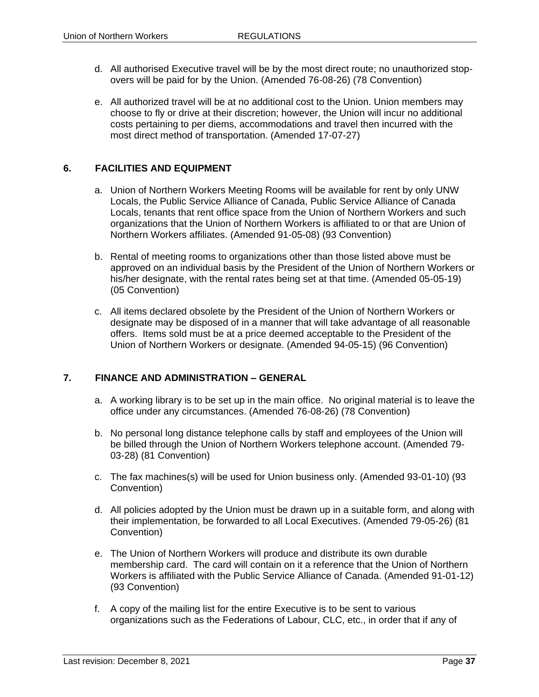- d. All authorised Executive travel will be by the most direct route; no unauthorized stopovers will be paid for by the Union. (Amended 76-08-26) (78 Convention)
- e. All authorized travel will be at no additional cost to the Union. Union members may choose to fly or drive at their discretion; however, the Union will incur no additional costs pertaining to per diems, accommodations and travel then incurred with the most direct method of transportation. (Amended 17-07-27)

### **6. FACILITIES AND EQUIPMENT**

- a. Union of Northern Workers Meeting Rooms will be available for rent by only UNW Locals, the Public Service Alliance of Canada, Public Service Alliance of Canada Locals, tenants that rent office space from the Union of Northern Workers and such organizations that the Union of Northern Workers is affiliated to or that are Union of Northern Workers affiliates. (Amended 91-05-08) (93 Convention)
- b. Rental of meeting rooms to organizations other than those listed above must be approved on an individual basis by the President of the Union of Northern Workers or his/her designate, with the rental rates being set at that time. (Amended 05-05-19) (05 Convention)
- c. All items declared obsolete by the President of the Union of Northern Workers or designate may be disposed of in a manner that will take advantage of all reasonable offers. Items sold must be at a price deemed acceptable to the President of the Union of Northern Workers or designate. (Amended 94-05-15) (96 Convention)

# **7. FINANCE AND ADMINISTRATION – GENERAL**

- a. A working library is to be set up in the main office. No original material is to leave the office under any circumstances. (Amended 76-08-26) (78 Convention)
- b. No personal long distance telephone calls by staff and employees of the Union will be billed through the Union of Northern Workers telephone account. (Amended 79- 03-28) (81 Convention)
- c. The fax machines(s) will be used for Union business only. (Amended 93-01-10) (93 Convention)
- d. All policies adopted by the Union must be drawn up in a suitable form, and along with their implementation, be forwarded to all Local Executives. (Amended 79-05-26) (81 Convention)
- e. The Union of Northern Workers will produce and distribute its own durable membership card. The card will contain on it a reference that the Union of Northern Workers is affiliated with the Public Service Alliance of Canada. (Amended 91-01-12) (93 Convention)
- f. A copy of the mailing list for the entire Executive is to be sent to various organizations such as the Federations of Labour, CLC, etc., in order that if any of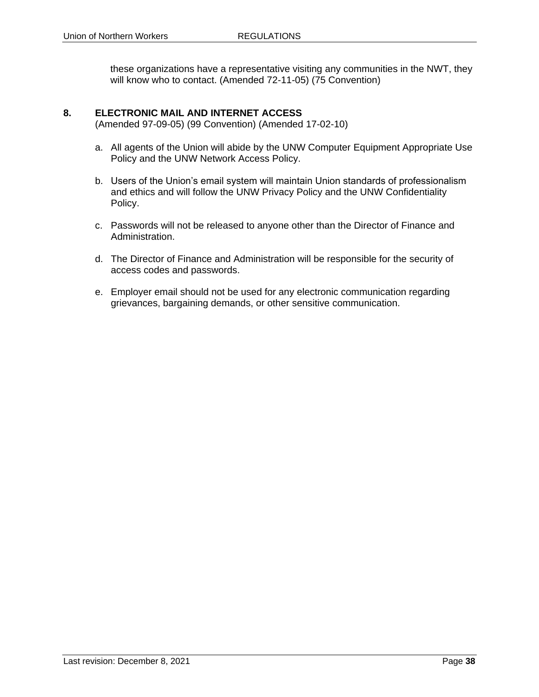these organizations have a representative visiting any communities in the NWT, they will know who to contact. (Amended 72-11-05) (75 Convention)

# **8. ELECTRONIC MAIL AND INTERNET ACCESS**

(Amended 97-09-05) (99 Convention) (Amended 17-02-10)

- a. All agents of the Union will abide by the UNW Computer Equipment Appropriate Use Policy and the UNW Network Access Policy.
- b. Users of the Union's email system will maintain Union standards of professionalism and ethics and will follow the UNW Privacy Policy and the UNW Confidentiality Policy.
- c. Passwords will not be released to anyone other than the Director of Finance and Administration.
- d. The Director of Finance and Administration will be responsible for the security of access codes and passwords.
- e. Employer email should not be used for any electronic communication regarding grievances, bargaining demands, or other sensitive communication.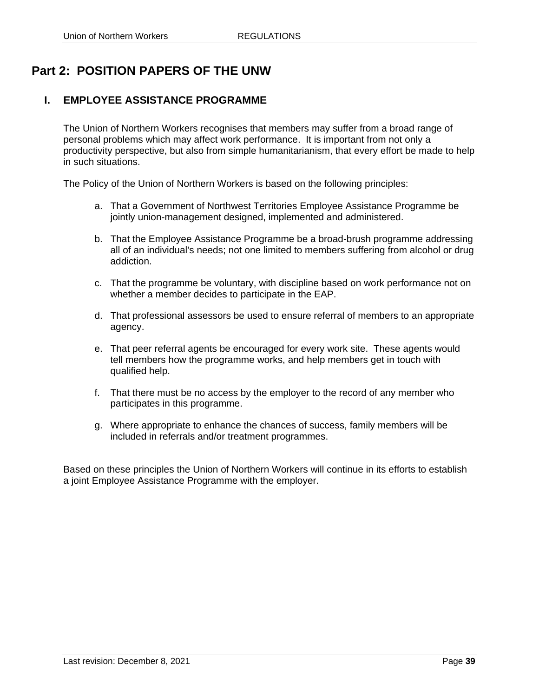# **Part 2: POSITION PAPERS OF THE UNW**

# **I. EMPLOYEE ASSISTANCE PROGRAMME**

The Union of Northern Workers recognises that members may suffer from a broad range of personal problems which may affect work performance. It is important from not only a productivity perspective, but also from simple humanitarianism, that every effort be made to help in such situations.

The Policy of the Union of Northern Workers is based on the following principles:

- a. That a Government of Northwest Territories Employee Assistance Programme be jointly union-management designed, implemented and administered.
- b. That the Employee Assistance Programme be a broad-brush programme addressing all of an individual's needs; not one limited to members suffering from alcohol or drug addiction.
- c. That the programme be voluntary, with discipline based on work performance not on whether a member decides to participate in the EAP.
- d. That professional assessors be used to ensure referral of members to an appropriate agency.
- e. That peer referral agents be encouraged for every work site. These agents would tell members how the programme works, and help members get in touch with qualified help.
- f. That there must be no access by the employer to the record of any member who participates in this programme.
- g. Where appropriate to enhance the chances of success, family members will be included in referrals and/or treatment programmes.

Based on these principles the Union of Northern Workers will continue in its efforts to establish a joint Employee Assistance Programme with the employer.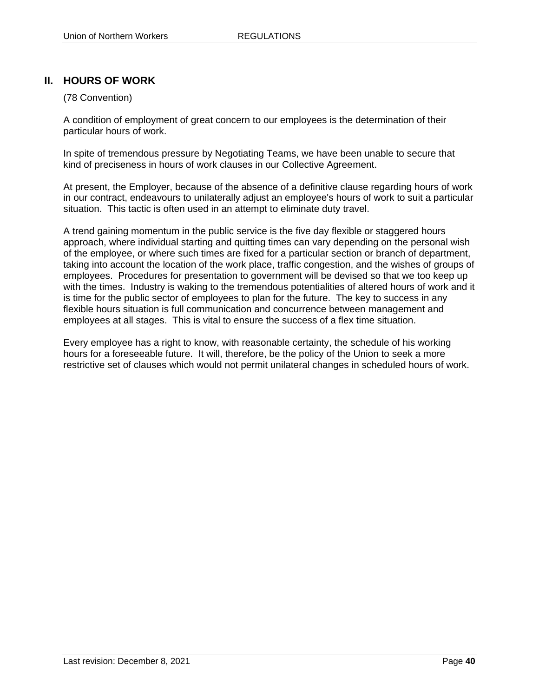# **II. HOURS OF WORK**

## (78 Convention)

A condition of employment of great concern to our employees is the determination of their particular hours of work.

In spite of tremendous pressure by Negotiating Teams, we have been unable to secure that kind of preciseness in hours of work clauses in our Collective Agreement.

At present, the Employer, because of the absence of a definitive clause regarding hours of work in our contract, endeavours to unilaterally adjust an employee's hours of work to suit a particular situation. This tactic is often used in an attempt to eliminate duty travel.

A trend gaining momentum in the public service is the five day flexible or staggered hours approach, where individual starting and quitting times can vary depending on the personal wish of the employee, or where such times are fixed for a particular section or branch of department, taking into account the location of the work place, traffic congestion, and the wishes of groups of employees. Procedures for presentation to government will be devised so that we too keep up with the times. Industry is waking to the tremendous potentialities of altered hours of work and it is time for the public sector of employees to plan for the future. The key to success in any flexible hours situation is full communication and concurrence between management and employees at all stages. This is vital to ensure the success of a flex time situation.

Every employee has a right to know, with reasonable certainty, the schedule of his working hours for a foreseeable future. It will, therefore, be the policy of the Union to seek a more restrictive set of clauses which would not permit unilateral changes in scheduled hours of work.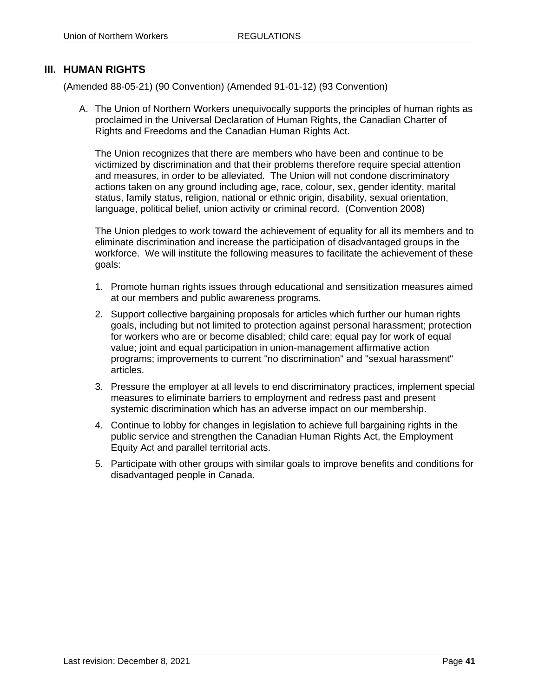# **III. HUMAN RIGHTS**

(Amended 88-05-21) (90 Convention) (Amended 91-01-12) (93 Convention)

A. The Union of Northern Workers unequivocally supports the principles of human rights as proclaimed in the Universal Declaration of Human Rights, the Canadian Charter of Rights and Freedoms and the Canadian Human Rights Act.

The Union recognizes that there are members who have been and continue to be victimized by discrimination and that their problems therefore require special attention and measures, in order to be alleviated. The Union will not condone discriminatory actions taken on any ground including age, race, colour, sex, gender identity, marital status, family status, religion, national or ethnic origin, disability, sexual orientation, language, political belief, union activity or criminal record. (Convention 2008)

The Union pledges to work toward the achievement of equality for all its members and to eliminate discrimination and increase the participation of disadvantaged groups in the workforce. We will institute the following measures to facilitate the achievement of these goals:

- 1. Promote human rights issues through educational and sensitization measures aimed at our members and public awareness programs.
- 2. Support collective bargaining proposals for articles which further our human rights goals, including but not limited to protection against personal harassment; protection for workers who are or become disabled; child care; equal pay for work of equal value; joint and equal participation in union-management affirmative action programs; improvements to current "no discrimination" and "sexual harassment" articles.
- 3. Pressure the employer at all levels to end discriminatory practices, implement special measures to eliminate barriers to employment and redress past and present systemic discrimination which has an adverse impact on our membership.
- 4. Continue to lobby for changes in legislation to achieve full bargaining rights in the public service and strengthen the Canadian Human Rights Act, the Employment Equity Act and parallel territorial acts.
- 5. Participate with other groups with similar goals to improve benefits and conditions for disadvantaged people in Canada.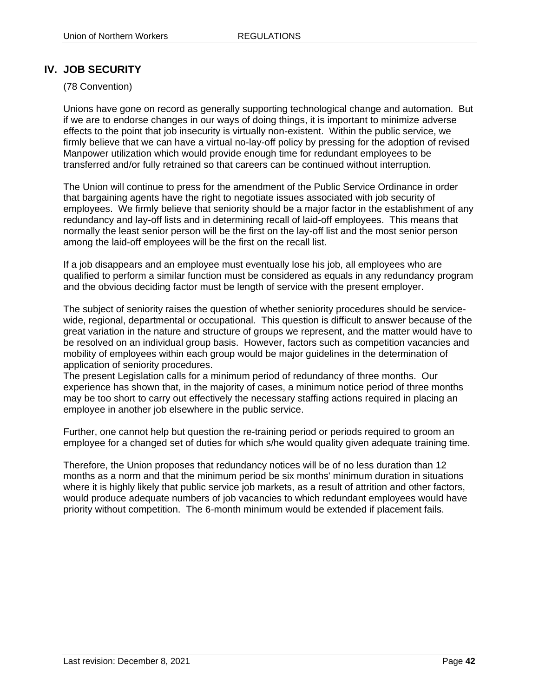# **IV. JOB SECURITY**

# (78 Convention)

Unions have gone on record as generally supporting technological change and automation. But if we are to endorse changes in our ways of doing things, it is important to minimize adverse effects to the point that job insecurity is virtually non-existent. Within the public service, we firmly believe that we can have a virtual no-lay-off policy by pressing for the adoption of revised Manpower utilization which would provide enough time for redundant employees to be transferred and/or fully retrained so that careers can be continued without interruption.

The Union will continue to press for the amendment of the Public Service Ordinance in order that bargaining agents have the right to negotiate issues associated with job security of employees. We firmly believe that seniority should be a major factor in the establishment of any redundancy and lay-off lists and in determining recall of laid-off employees. This means that normally the least senior person will be the first on the lay-off list and the most senior person among the laid-off employees will be the first on the recall list.

If a job disappears and an employee must eventually lose his job, all employees who are qualified to perform a similar function must be considered as equals in any redundancy program and the obvious deciding factor must be length of service with the present employer.

The subject of seniority raises the question of whether seniority procedures should be servicewide, regional, departmental or occupational. This question is difficult to answer because of the great variation in the nature and structure of groups we represent, and the matter would have to be resolved on an individual group basis. However, factors such as competition vacancies and mobility of employees within each group would be major guidelines in the determination of application of seniority procedures.

The present Legislation calls for a minimum period of redundancy of three months. Our experience has shown that, in the majority of cases, a minimum notice period of three months may be too short to carry out effectively the necessary staffing actions required in placing an employee in another job elsewhere in the public service.

Further, one cannot help but question the re-training period or periods required to groom an employee for a changed set of duties for which s/he would quality given adequate training time.

Therefore, the Union proposes that redundancy notices will be of no less duration than 12 months as a norm and that the minimum period be six months' minimum duration in situations where it is highly likely that public service job markets, as a result of attrition and other factors, would produce adequate numbers of job vacancies to which redundant employees would have priority without competition. The 6-month minimum would be extended if placement fails.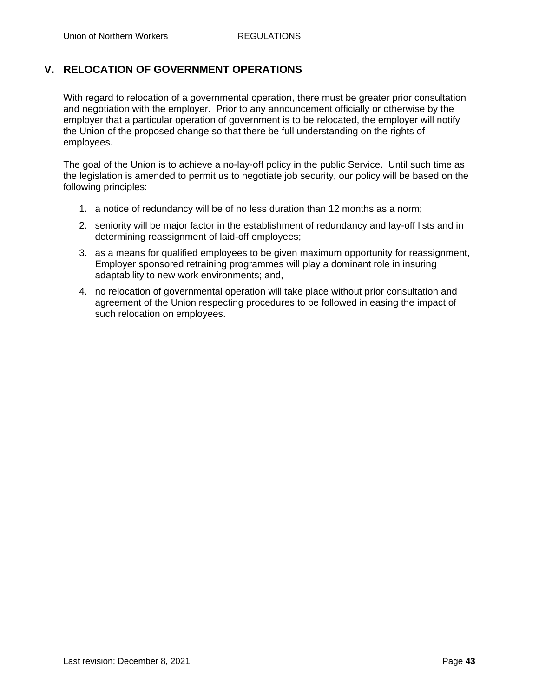# **V. RELOCATION OF GOVERNMENT OPERATIONS**

With regard to relocation of a governmental operation, there must be greater prior consultation and negotiation with the employer. Prior to any announcement officially or otherwise by the employer that a particular operation of government is to be relocated, the employer will notify the Union of the proposed change so that there be full understanding on the rights of employees.

The goal of the Union is to achieve a no-lay-off policy in the public Service. Until such time as the legislation is amended to permit us to negotiate job security, our policy will be based on the following principles:

- 1. a notice of redundancy will be of no less duration than 12 months as a norm;
- 2. seniority will be major factor in the establishment of redundancy and lay-off lists and in determining reassignment of laid-off employees;
- 3. as a means for qualified employees to be given maximum opportunity for reassignment, Employer sponsored retraining programmes will play a dominant role in insuring adaptability to new work environments; and,
- 4. no relocation of governmental operation will take place without prior consultation and agreement of the Union respecting procedures to be followed in easing the impact of such relocation on employees.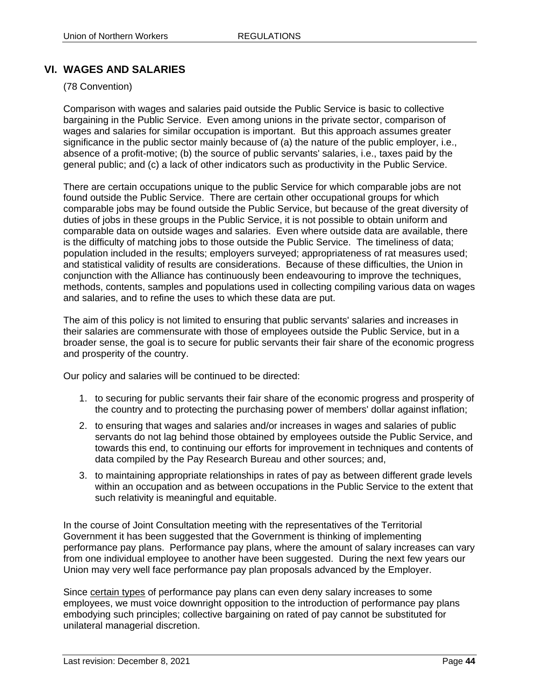# **VI. WAGES AND SALARIES**

# (78 Convention)

Comparison with wages and salaries paid outside the Public Service is basic to collective bargaining in the Public Service. Even among unions in the private sector, comparison of wages and salaries for similar occupation is important. But this approach assumes greater significance in the public sector mainly because of (a) the nature of the public employer, i.e., absence of a profit-motive; (b) the source of public servants' salaries, i.e., taxes paid by the general public; and (c) a lack of other indicators such as productivity in the Public Service.

There are certain occupations unique to the public Service for which comparable jobs are not found outside the Public Service. There are certain other occupational groups for which comparable jobs may be found outside the Public Service, but because of the great diversity of duties of jobs in these groups in the Public Service, it is not possible to obtain uniform and comparable data on outside wages and salaries. Even where outside data are available, there is the difficulty of matching jobs to those outside the Public Service. The timeliness of data; population included in the results; employers surveyed; appropriateness of rat measures used; and statistical validity of results are considerations. Because of these difficulties, the Union in conjunction with the Alliance has continuously been endeavouring to improve the techniques, methods, contents, samples and populations used in collecting compiling various data on wages and salaries, and to refine the uses to which these data are put.

The aim of this policy is not limited to ensuring that public servants' salaries and increases in their salaries are commensurate with those of employees outside the Public Service, but in a broader sense, the goal is to secure for public servants their fair share of the economic progress and prosperity of the country.

Our policy and salaries will be continued to be directed:

- 1. to securing for public servants their fair share of the economic progress and prosperity of the country and to protecting the purchasing power of members' dollar against inflation;
- 2. to ensuring that wages and salaries and/or increases in wages and salaries of public servants do not lag behind those obtained by employees outside the Public Service, and towards this end, to continuing our efforts for improvement in techniques and contents of data compiled by the Pay Research Bureau and other sources; and,
- 3. to maintaining appropriate relationships in rates of pay as between different grade levels within an occupation and as between occupations in the Public Service to the extent that such relativity is meaningful and equitable.

In the course of Joint Consultation meeting with the representatives of the Territorial Government it has been suggested that the Government is thinking of implementing performance pay plans. Performance pay plans, where the amount of salary increases can vary from one individual employee to another have been suggested. During the next few years our Union may very well face performance pay plan proposals advanced by the Employer.

Since certain types of performance pay plans can even deny salary increases to some employees, we must voice downright opposition to the introduction of performance pay plans embodying such principles; collective bargaining on rated of pay cannot be substituted for unilateral managerial discretion.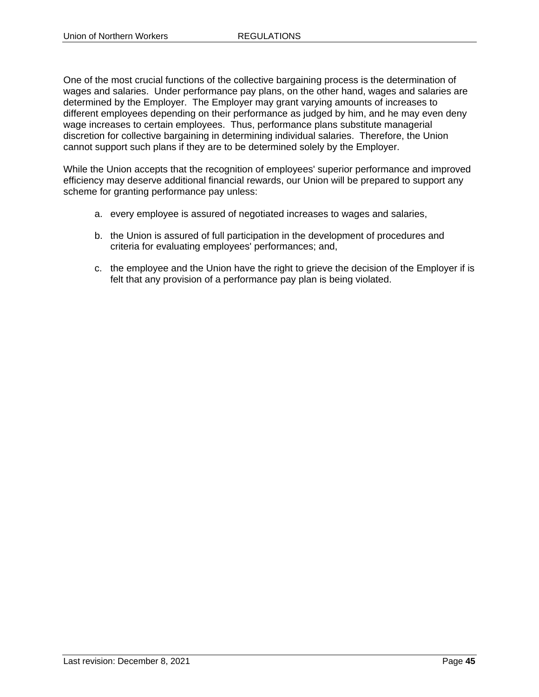One of the most crucial functions of the collective bargaining process is the determination of wages and salaries. Under performance pay plans, on the other hand, wages and salaries are determined by the Employer. The Employer may grant varying amounts of increases to different employees depending on their performance as judged by him, and he may even deny wage increases to certain employees. Thus, performance plans substitute managerial discretion for collective bargaining in determining individual salaries. Therefore, the Union cannot support such plans if they are to be determined solely by the Employer.

While the Union accepts that the recognition of employees' superior performance and improved efficiency may deserve additional financial rewards, our Union will be prepared to support any scheme for granting performance pay unless:

- a. every employee is assured of negotiated increases to wages and salaries,
- b. the Union is assured of full participation in the development of procedures and criteria for evaluating employees' performances; and,
- c. the employee and the Union have the right to grieve the decision of the Employer if is felt that any provision of a performance pay plan is being violated.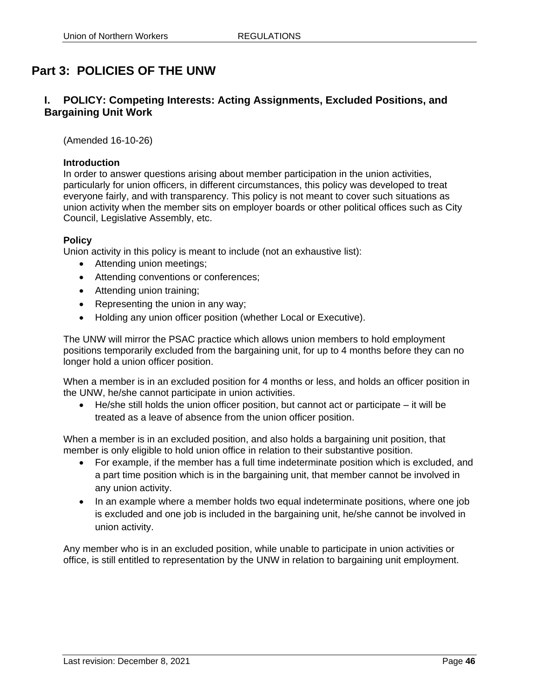# **Part 3: POLICIES OF THE UNW**

# **I. POLICY: Competing Interests: Acting Assignments, Excluded Positions, and Bargaining Unit Work**

(Amended 16-10-26)

#### **Introduction**

In order to answer questions arising about member participation in the union activities, particularly for union officers, in different circumstances, this policy was developed to treat everyone fairly, and with transparency. This policy is not meant to cover such situations as union activity when the member sits on employer boards or other political offices such as City Council, Legislative Assembly, etc.

#### **Policy**

Union activity in this policy is meant to include (not an exhaustive list):

- Attending union meetings;
- Attending conventions or conferences;
- Attending union training;
- Representing the union in any way;
- Holding any union officer position (whether Local or Executive).

The UNW will mirror the PSAC practice which allows union members to hold employment positions temporarily excluded from the bargaining unit, for up to 4 months before they can no longer hold a union officer position.

When a member is in an excluded position for 4 months or less, and holds an officer position in the UNW, he/she cannot participate in union activities.

 $\bullet$  He/she still holds the union officer position, but cannot act or participate – it will be treated as a leave of absence from the union officer position.

When a member is in an excluded position, and also holds a bargaining unit position, that member is only eligible to hold union office in relation to their substantive position.

- For example, if the member has a full time indeterminate position which is excluded, and a part time position which is in the bargaining unit, that member cannot be involved in any union activity.
- In an example where a member holds two equal indeterminate positions, where one job is excluded and one job is included in the bargaining unit, he/she cannot be involved in union activity.

Any member who is in an excluded position, while unable to participate in union activities or office, is still entitled to representation by the UNW in relation to bargaining unit employment.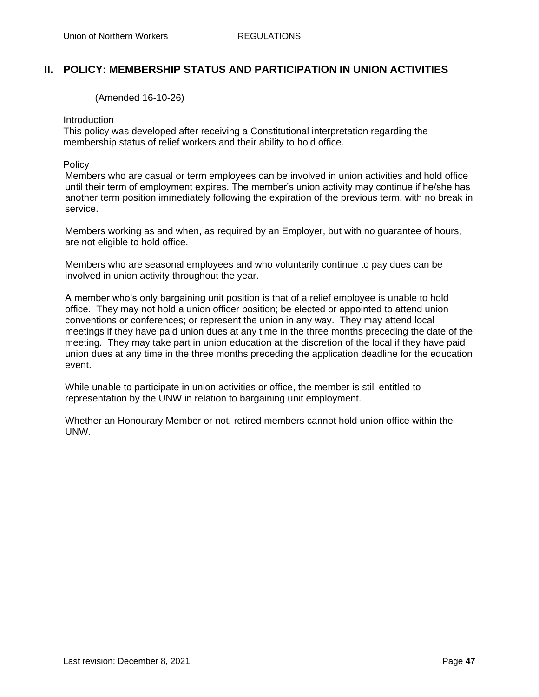# **II. POLICY: MEMBERSHIP STATUS AND PARTICIPATION IN UNION ACTIVITIES**

(Amended 16-10-26)

#### Introduction

This policy was developed after receiving a Constitutional interpretation regarding the membership status of relief workers and their ability to hold office.

#### **Policy**

Members who are casual or term employees can be involved in union activities and hold office until their term of employment expires. The member's union activity may continue if he/she has another term position immediately following the expiration of the previous term, with no break in service.

Members working as and when, as required by an Employer, but with no guarantee of hours, are not eligible to hold office.

Members who are seasonal employees and who voluntarily continue to pay dues can be involved in union activity throughout the year.

A member who's only bargaining unit position is that of a relief employee is unable to hold office. They may not hold a union officer position; be elected or appointed to attend union conventions or conferences; or represent the union in any way. They may attend local meetings if they have paid union dues at any time in the three months preceding the date of the meeting. They may take part in union education at the discretion of the local if they have paid union dues at any time in the three months preceding the application deadline for the education event.

While unable to participate in union activities or office, the member is still entitled to representation by the UNW in relation to bargaining unit employment.

Whether an Honourary Member or not, retired members cannot hold union office within the UNW.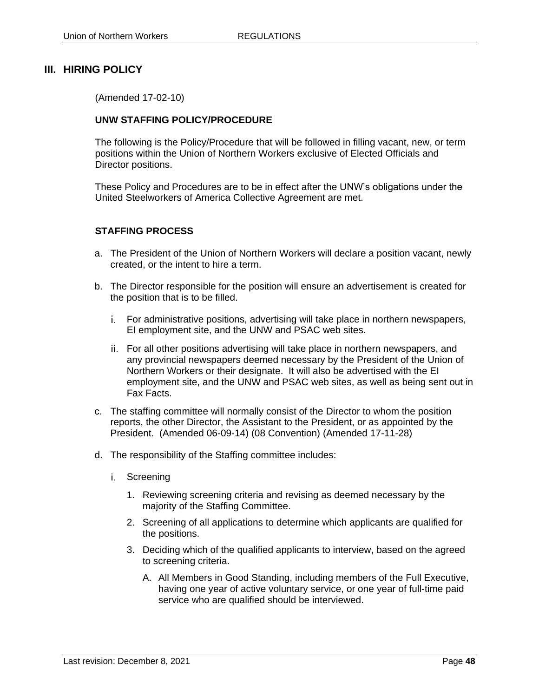# **III. HIRING POLICY**

(Amended 17-02-10)

### **UNW STAFFING POLICY/PROCEDURE**

The following is the Policy/Procedure that will be followed in filling vacant, new, or term positions within the Union of Northern Workers exclusive of Elected Officials and Director positions.

These Policy and Procedures are to be in effect after the UNW's obligations under the United Steelworkers of America Collective Agreement are met.

### **STAFFING PROCESS**

- a. The President of the Union of Northern Workers will declare a position vacant, newly created, or the intent to hire a term.
- b. The Director responsible for the position will ensure an advertisement is created for the position that is to be filled.
	- For administrative positions, advertising will take place in northern newspapers, EI employment site, and the UNW and PSAC web sites.
	- ii. For all other positions advertising will take place in northern newspapers, and any provincial newspapers deemed necessary by the President of the Union of Northern Workers or their designate. It will also be advertised with the EI employment site, and the UNW and PSAC web sites, as well as being sent out in Fax Facts.
- c. The staffing committee will normally consist of the Director to whom the position reports, the other Director, the Assistant to the President, or as appointed by the President. (Amended 06-09-14) (08 Convention) (Amended 17-11-28)
- d. The responsibility of the Staffing committee includes:
	- i. Screening
		- 1. Reviewing screening criteria and revising as deemed necessary by the majority of the Staffing Committee.
		- 2. Screening of all applications to determine which applicants are qualified for the positions.
		- 3. Deciding which of the qualified applicants to interview, based on the agreed to screening criteria.
			- A. All Members in Good Standing, including members of the Full Executive, having one year of active voluntary service, or one year of full-time paid service who are qualified should be interviewed.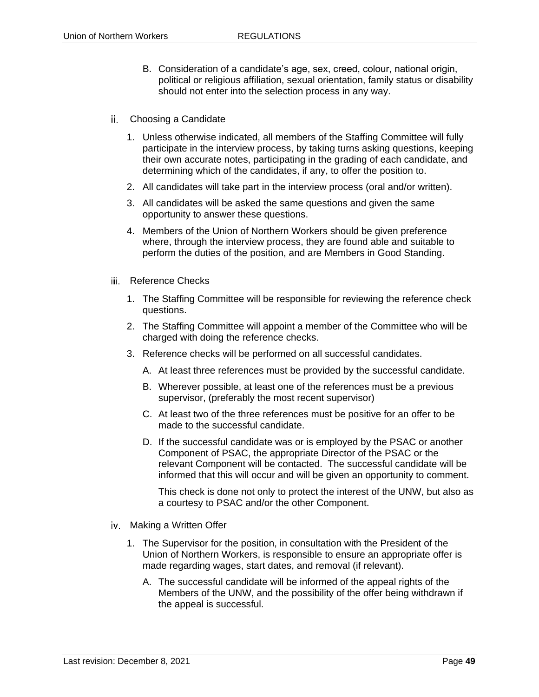- B. Consideration of a candidate's age, sex, creed, colour, national origin, political or religious affiliation, sexual orientation, family status or disability should not enter into the selection process in any way.
- Choosing a Candidate
	- 1. Unless otherwise indicated, all members of the Staffing Committee will fully participate in the interview process, by taking turns asking questions, keeping their own accurate notes, participating in the grading of each candidate, and determining which of the candidates, if any, to offer the position to.
	- 2. All candidates will take part in the interview process (oral and/or written).
	- 3. All candidates will be asked the same questions and given the same opportunity to answer these questions.
	- 4. Members of the Union of Northern Workers should be given preference where, through the interview process, they are found able and suitable to perform the duties of the position, and are Members in Good Standing.
- iii. Reference Checks
	- 1. The Staffing Committee will be responsible for reviewing the reference check questions.
	- 2. The Staffing Committee will appoint a member of the Committee who will be charged with doing the reference checks.
	- 3. Reference checks will be performed on all successful candidates.
		- A. At least three references must be provided by the successful candidate.
		- B. Wherever possible, at least one of the references must be a previous supervisor, (preferably the most recent supervisor)
		- C. At least two of the three references must be positive for an offer to be made to the successful candidate.
		- D. If the successful candidate was or is employed by the PSAC or another Component of PSAC, the appropriate Director of the PSAC or the relevant Component will be contacted. The successful candidate will be informed that this will occur and will be given an opportunity to comment.

This check is done not only to protect the interest of the UNW, but also as a courtesy to PSAC and/or the other Component.

- iv Making a Written Offer
	- 1. The Supervisor for the position, in consultation with the President of the Union of Northern Workers, is responsible to ensure an appropriate offer is made regarding wages, start dates, and removal (if relevant).
		- A. The successful candidate will be informed of the appeal rights of the Members of the UNW, and the possibility of the offer being withdrawn if the appeal is successful.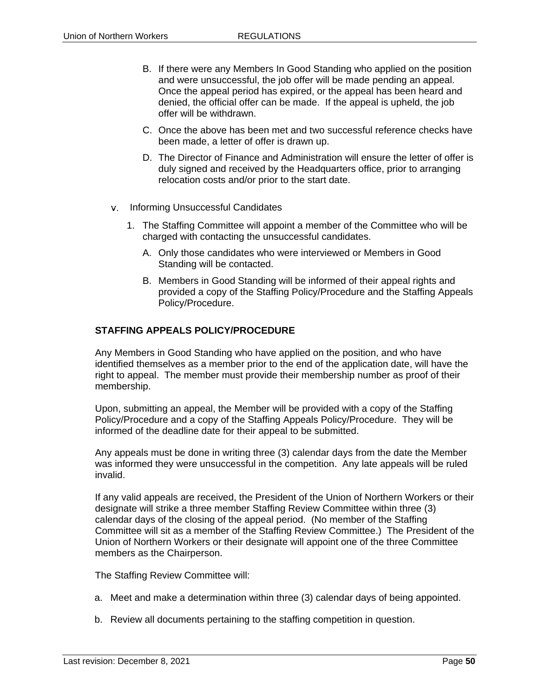- B. If there were any Members In Good Standing who applied on the position and were unsuccessful, the job offer will be made pending an appeal. Once the appeal period has expired, or the appeal has been heard and denied, the official offer can be made. If the appeal is upheld, the job offer will be withdrawn.
- C. Once the above has been met and two successful reference checks have been made, a letter of offer is drawn up.
- D. The Director of Finance and Administration will ensure the letter of offer is duly signed and received by the Headquarters office, prior to arranging relocation costs and/or prior to the start date.
- v. Informing Unsuccessful Candidates
	- 1. The Staffing Committee will appoint a member of the Committee who will be charged with contacting the unsuccessful candidates.
		- A. Only those candidates who were interviewed or Members in Good Standing will be contacted.
		- B. Members in Good Standing will be informed of their appeal rights and provided a copy of the Staffing Policy/Procedure and the Staffing Appeals Policy/Procedure.

## **STAFFING APPEALS POLICY/PROCEDURE**

Any Members in Good Standing who have applied on the position, and who have identified themselves as a member prior to the end of the application date, will have the right to appeal. The member must provide their membership number as proof of their membership.

Upon, submitting an appeal, the Member will be provided with a copy of the Staffing Policy/Procedure and a copy of the Staffing Appeals Policy/Procedure. They will be informed of the deadline date for their appeal to be submitted.

Any appeals must be done in writing three (3) calendar days from the date the Member was informed they were unsuccessful in the competition. Any late appeals will be ruled invalid.

If any valid appeals are received, the President of the Union of Northern Workers or their designate will strike a three member Staffing Review Committee within three (3) calendar days of the closing of the appeal period. (No member of the Staffing Committee will sit as a member of the Staffing Review Committee.) The President of the Union of Northern Workers or their designate will appoint one of the three Committee members as the Chairperson.

The Staffing Review Committee will:

- a. Meet and make a determination within three (3) calendar days of being appointed.
- b. Review all documents pertaining to the staffing competition in question.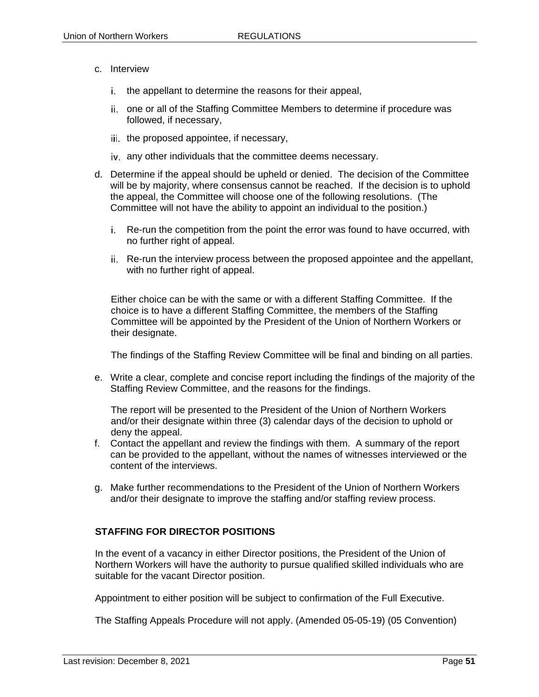- c. Interview
	- i. the appellant to determine the reasons for their appeal,
	- ii. one or all of the Staffing Committee Members to determine if procedure was followed, if necessary,
	- iii. the proposed appointee, if necessary,
	- any other individuals that the committee deems necessary.
- d. Determine if the appeal should be upheld or denied. The decision of the Committee will be by majority, where consensus cannot be reached. If the decision is to uphold the appeal, the Committee will choose one of the following resolutions. (The Committee will not have the ability to appoint an individual to the position.)
	- Re-run the competition from the point the error was found to have occurred, with no further right of appeal.
	- Re-run the interview process between the proposed appointee and the appellant, with no further right of appeal.

Either choice can be with the same or with a different Staffing Committee. If the choice is to have a different Staffing Committee, the members of the Staffing Committee will be appointed by the President of the Union of Northern Workers or their designate.

The findings of the Staffing Review Committee will be final and binding on all parties.

e. Write a clear, complete and concise report including the findings of the majority of the Staffing Review Committee, and the reasons for the findings.

The report will be presented to the President of the Union of Northern Workers and/or their designate within three (3) calendar days of the decision to uphold or deny the appeal.

- f. Contact the appellant and review the findings with them. A summary of the report can be provided to the appellant, without the names of witnesses interviewed or the content of the interviews.
- g. Make further recommendations to the President of the Union of Northern Workers and/or their designate to improve the staffing and/or staffing review process.

## **STAFFING FOR DIRECTOR POSITIONS**

In the event of a vacancy in either Director positions, the President of the Union of Northern Workers will have the authority to pursue qualified skilled individuals who are suitable for the vacant Director position.

Appointment to either position will be subject to confirmation of the Full Executive.

The Staffing Appeals Procedure will not apply. (Amended 05-05-19) (05 Convention)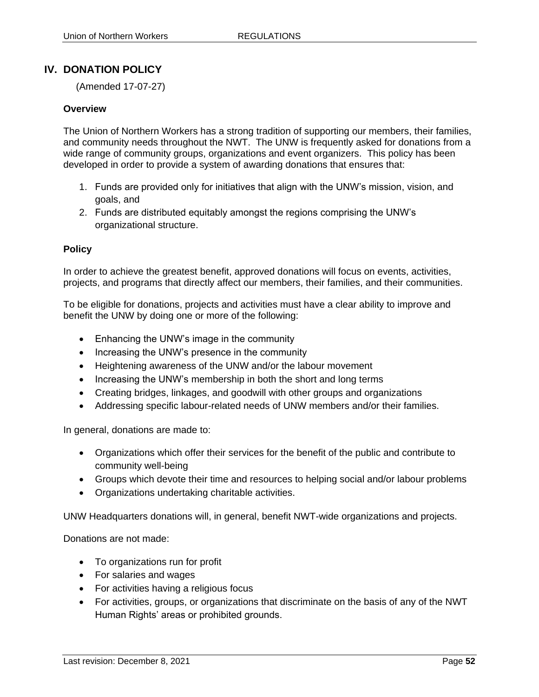# **IV. DONATION POLICY**

(Amended 17-07-27)

#### **Overview**

The Union of Northern Workers has a strong tradition of supporting our members, their families, and community needs throughout the NWT. The UNW is frequently asked for donations from a wide range of community groups, organizations and event organizers. This policy has been developed in order to provide a system of awarding donations that ensures that:

- 1. Funds are provided only for initiatives that align with the UNW's mission, vision, and goals, and
- 2. Funds are distributed equitably amongst the regions comprising the UNW's organizational structure.

### **Policy**

In order to achieve the greatest benefit, approved donations will focus on events, activities, projects, and programs that directly affect our members, their families, and their communities.

To be eligible for donations, projects and activities must have a clear ability to improve and benefit the UNW by doing one or more of the following:

- Enhancing the UNW's image in the community
- Increasing the UNW's presence in the community
- Heightening awareness of the UNW and/or the labour movement
- Increasing the UNW's membership in both the short and long terms
- Creating bridges, linkages, and goodwill with other groups and organizations
- Addressing specific labour-related needs of UNW members and/or their families.

In general, donations are made to:

- Organizations which offer their services for the benefit of the public and contribute to community well-being
- Groups which devote their time and resources to helping social and/or labour problems
- Organizations undertaking charitable activities.

UNW Headquarters donations will, in general, benefit NWT-wide organizations and projects.

Donations are not made:

- To organizations run for profit
- For salaries and wages
- For activities having a religious focus
- For activities, groups, or organizations that discriminate on the basis of any of the NWT Human Rights' areas or prohibited grounds.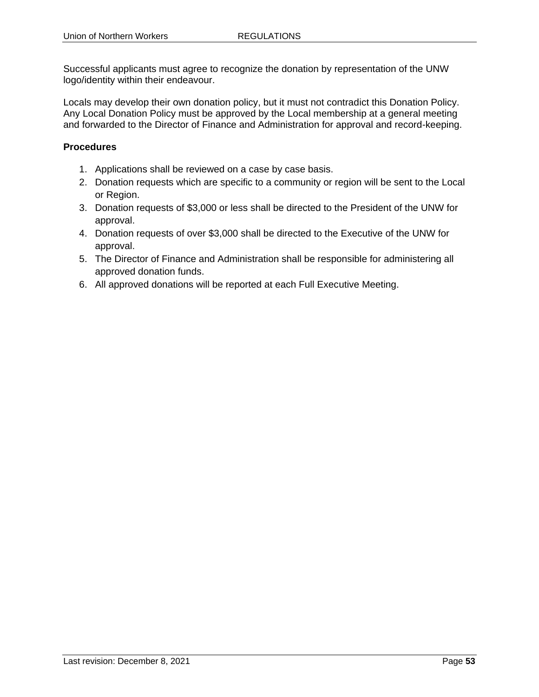Successful applicants must agree to recognize the donation by representation of the UNW logo/identity within their endeavour.

Locals may develop their own donation policy, but it must not contradict this Donation Policy. Any Local Donation Policy must be approved by the Local membership at a general meeting and forwarded to the Director of Finance and Administration for approval and record-keeping.

# **Procedures**

- 1. Applications shall be reviewed on a case by case basis.
- 2. Donation requests which are specific to a community or region will be sent to the Local or Region.
- 3. Donation requests of \$3,000 or less shall be directed to the President of the UNW for approval.
- 4. Donation requests of over \$3,000 shall be directed to the Executive of the UNW for approval.
- 5. The Director of Finance and Administration shall be responsible for administering all approved donation funds.
- 6. All approved donations will be reported at each Full Executive Meeting.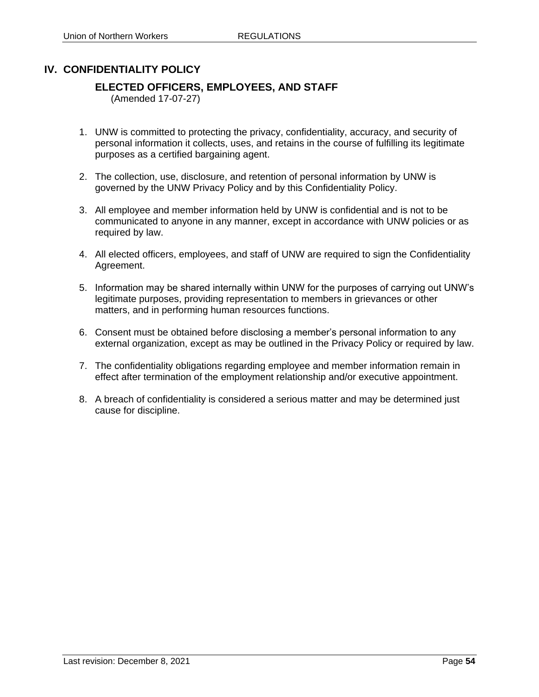# **IV. CONFIDENTIALITY POLICY**

# **ELECTED OFFICERS, EMPLOYEES, AND STAFF**

(Amended 17-07-27)

- 1. UNW is committed to protecting the privacy, confidentiality, accuracy, and security of personal information it collects, uses, and retains in the course of fulfilling its legitimate purposes as a certified bargaining agent.
- 2. The collection, use, disclosure, and retention of personal information by UNW is governed by the UNW Privacy Policy and by this Confidentiality Policy.
- 3. All employee and member information held by UNW is confidential and is not to be communicated to anyone in any manner, except in accordance with UNW policies or as required by law.
- 4. All elected officers, employees, and staff of UNW are required to sign the Confidentiality Agreement.
- 5. Information may be shared internally within UNW for the purposes of carrying out UNW's legitimate purposes, providing representation to members in grievances or other matters, and in performing human resources functions.
- 6. Consent must be obtained before disclosing a member's personal information to any external organization, except as may be outlined in the Privacy Policy or required by law.
- 7. The confidentiality obligations regarding employee and member information remain in effect after termination of the employment relationship and/or executive appointment.
- 8. A breach of confidentiality is considered a serious matter and may be determined just cause for discipline.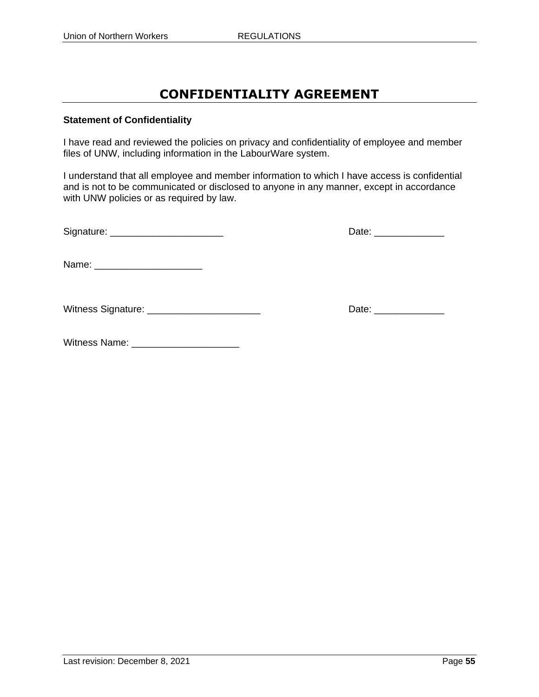# **CONFIDENTIALITY AGREEMENT**

### **Statement of Confidentiality**

I have read and reviewed the policies on privacy and confidentiality of employee and member files of UNW, including information in the LabourWare system.

I understand that all employee and member information to which I have access is confidential and is not to be communicated or disclosed to anyone in any manner, except in accordance with UNW policies or as required by law.

| Signature: | ≀ate |
|------------|------|
|            |      |

| Date: |  |
|-------|--|
|-------|--|

Name: \_\_\_\_\_\_\_\_\_\_\_\_\_\_\_\_\_\_\_\_

Witness Signature: \_\_\_\_\_\_\_\_\_\_\_\_\_\_\_\_\_\_\_\_\_ Date: \_\_\_\_\_\_\_\_\_\_\_\_\_

Witness Name: \_\_\_\_\_\_\_\_\_\_\_\_\_\_\_\_\_\_\_\_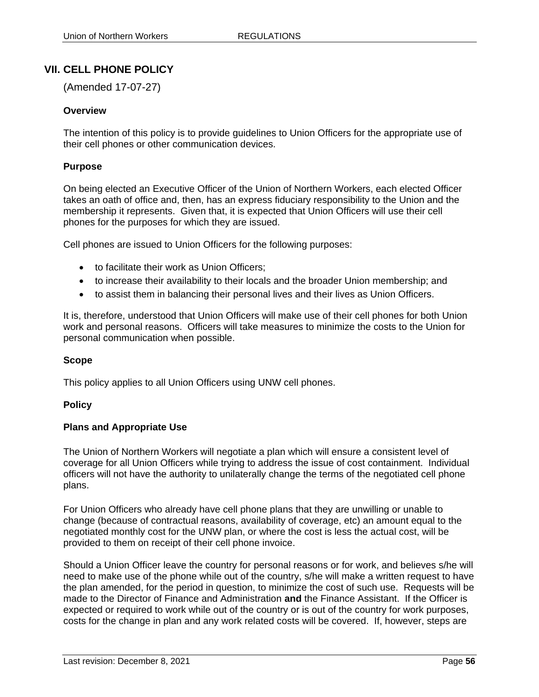# **VII. CELL PHONE POLICY**

(Amended 17-07-27)

### **Overview**

The intention of this policy is to provide guidelines to Union Officers for the appropriate use of their cell phones or other communication devices.

#### **Purpose**

On being elected an Executive Officer of the Union of Northern Workers, each elected Officer takes an oath of office and, then, has an express fiduciary responsibility to the Union and the membership it represents. Given that, it is expected that Union Officers will use their cell phones for the purposes for which they are issued.

Cell phones are issued to Union Officers for the following purposes:

- to facilitate their work as Union Officers:
- to increase their availability to their locals and the broader Union membership; and
- to assist them in balancing their personal lives and their lives as Union Officers.

It is, therefore, understood that Union Officers will make use of their cell phones for both Union work and personal reasons. Officers will take measures to minimize the costs to the Union for personal communication when possible.

#### **Scope**

This policy applies to all Union Officers using UNW cell phones.

#### **Policy**

#### **Plans and Appropriate Use**

The Union of Northern Workers will negotiate a plan which will ensure a consistent level of coverage for all Union Officers while trying to address the issue of cost containment. Individual officers will not have the authority to unilaterally change the terms of the negotiated cell phone plans.

For Union Officers who already have cell phone plans that they are unwilling or unable to change (because of contractual reasons, availability of coverage, etc) an amount equal to the negotiated monthly cost for the UNW plan, or where the cost is less the actual cost, will be provided to them on receipt of their cell phone invoice.

Should a Union Officer leave the country for personal reasons or for work, and believes s/he will need to make use of the phone while out of the country, s/he will make a written request to have the plan amended, for the period in question, to minimize the cost of such use. Requests will be made to the Director of Finance and Administration **and** the Finance Assistant. If the Officer is expected or required to work while out of the country or is out of the country for work purposes, costs for the change in plan and any work related costs will be covered. If, however, steps are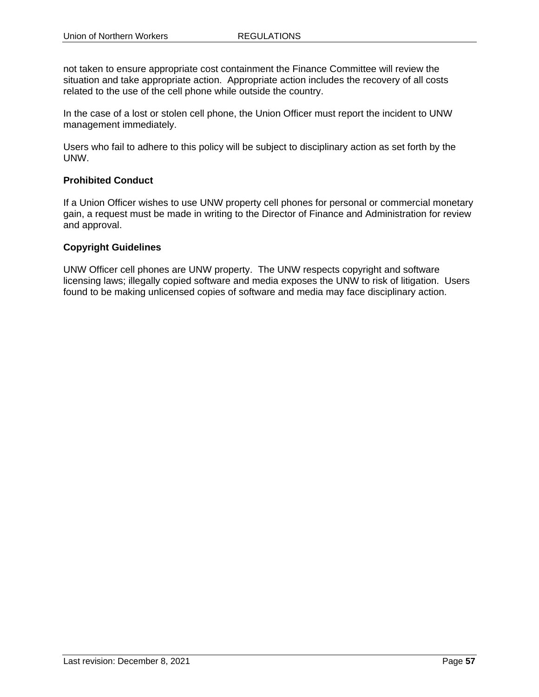not taken to ensure appropriate cost containment the Finance Committee will review the situation and take appropriate action. Appropriate action includes the recovery of all costs related to the use of the cell phone while outside the country.

In the case of a lost or stolen cell phone, the Union Officer must report the incident to UNW management immediately.

Users who fail to adhere to this policy will be subject to disciplinary action as set forth by the UNW.

### **Prohibited Conduct**

If a Union Officer wishes to use UNW property cell phones for personal or commercial monetary gain, a request must be made in writing to the Director of Finance and Administration for review and approval.

### **Copyright Guidelines**

UNW Officer cell phones are UNW property. The UNW respects copyright and software licensing laws; illegally copied software and media exposes the UNW to risk of litigation. Users found to be making unlicensed copies of software and media may face disciplinary action.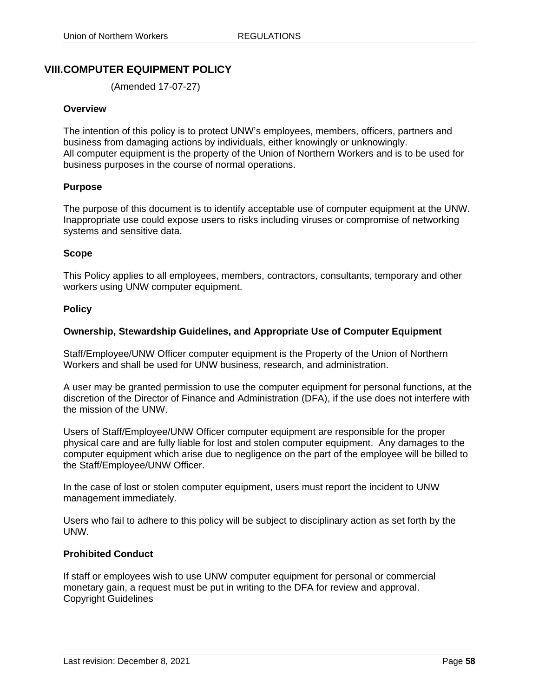# **VIII.COMPUTER EQUIPMENT POLICY**

(Amended 17-07-27)

#### **Overview**

The intention of this policy is to protect UNW's employees, members, officers, partners and business from damaging actions by individuals, either knowingly or unknowingly. All computer equipment is the property of the Union of Northern Workers and is to be used for business purposes in the course of normal operations.

### **Purpose**

The purpose of this document is to identify acceptable use of computer equipment at the UNW. Inappropriate use could expose users to risks including viruses or compromise of networking systems and sensitive data.

### **Scope**

This Policy applies to all employees, members, contractors, consultants, temporary and other workers using UNW computer equipment.

#### **Policy**

### **Ownership, Stewardship Guidelines, and Appropriate Use of Computer Equipment**

Staff/Employee/UNW Officer computer equipment is the Property of the Union of Northern Workers and shall be used for UNW business, research, and administration.

A user may be granted permission to use the computer equipment for personal functions, at the discretion of the Director of Finance and Administration (DFA), if the use does not interfere with the mission of the UNW.

Users of Staff/Employee/UNW Officer computer equipment are responsible for the proper physical care and are fully liable for lost and stolen computer equipment. Any damages to the computer equipment which arise due to negligence on the part of the employee will be billed to the Staff/Employee/UNW Officer.

In the case of lost or stolen computer equipment, users must report the incident to UNW management immediately.

Users who fail to adhere to this policy will be subject to disciplinary action as set forth by the UNW.

#### **Prohibited Conduct**

If staff or employees wish to use UNW computer equipment for personal or commercial monetary gain, a request must be put in writing to the DFA for review and approval. Copyright Guidelines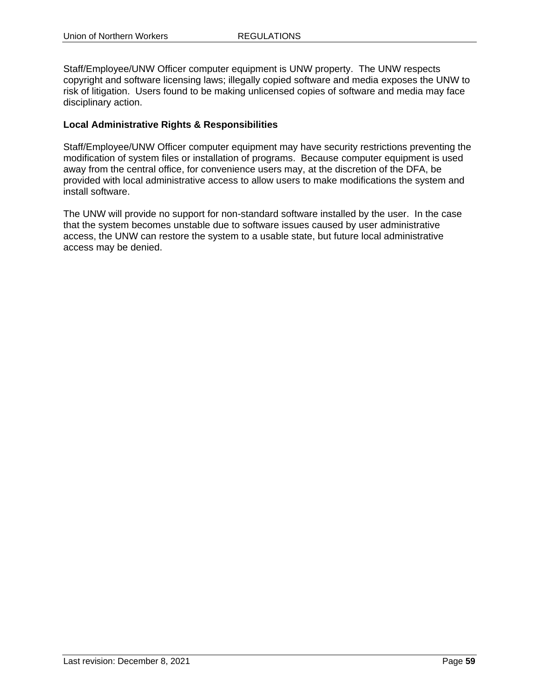Staff/Employee/UNW Officer computer equipment is UNW property. The UNW respects copyright and software licensing laws; illegally copied software and media exposes the UNW to risk of litigation. Users found to be making unlicensed copies of software and media may face disciplinary action.

## **Local Administrative Rights & Responsibilities**

Staff/Employee/UNW Officer computer equipment may have security restrictions preventing the modification of system files or installation of programs. Because computer equipment is used away from the central office, for convenience users may, at the discretion of the DFA, be provided with local administrative access to allow users to make modifications the system and install software.

The UNW will provide no support for non-standard software installed by the user. In the case that the system becomes unstable due to software issues caused by user administrative access, the UNW can restore the system to a usable state, but future local administrative access may be denied.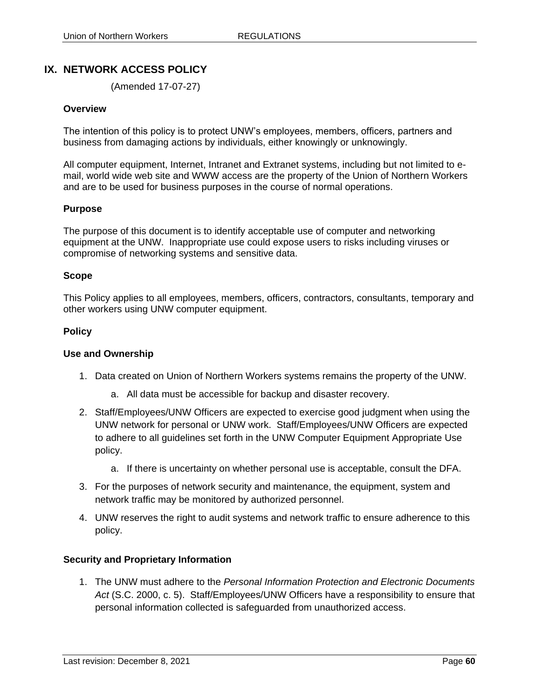# **IX. NETWORK ACCESS POLICY**

(Amended 17-07-27)

#### **Overview**

The intention of this policy is to protect UNW's employees, members, officers, partners and business from damaging actions by individuals, either knowingly or unknowingly.

All computer equipment, Internet, Intranet and Extranet systems, including but not limited to email, world wide web site and WWW access are the property of the Union of Northern Workers and are to be used for business purposes in the course of normal operations.

#### **Purpose**

The purpose of this document is to identify acceptable use of computer and networking equipment at the UNW. Inappropriate use could expose users to risks including viruses or compromise of networking systems and sensitive data.

#### **Scope**

This Policy applies to all employees, members, officers, contractors, consultants, temporary and other workers using UNW computer equipment.

#### **Policy**

#### **Use and Ownership**

- 1. Data created on Union of Northern Workers systems remains the property of the UNW.
	- a. All data must be accessible for backup and disaster recovery.
- 2. Staff/Employees/UNW Officers are expected to exercise good judgment when using the UNW network for personal or UNW work. Staff/Employees/UNW Officers are expected to adhere to all guidelines set forth in the UNW Computer Equipment Appropriate Use policy.
	- a. If there is uncertainty on whether personal use is acceptable, consult the DFA.
- 3. For the purposes of network security and maintenance, the equipment, system and network traffic may be monitored by authorized personnel.
- 4. UNW reserves the right to audit systems and network traffic to ensure adherence to this policy.

#### **Security and Proprietary Information**

1. The UNW must adhere to the *Personal Information Protection and Electronic Documents Act* (S.C. 2000, c. 5). Staff/Employees/UNW Officers have a responsibility to ensure that personal information collected is safeguarded from unauthorized access.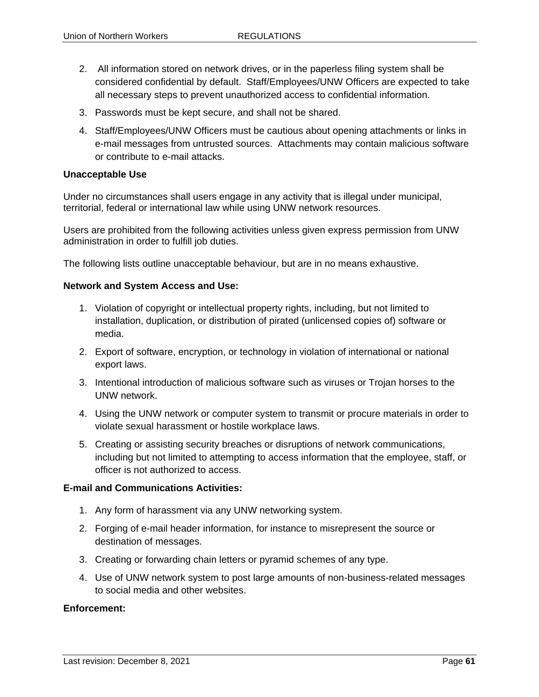- 2. All information stored on network drives, or in the paperless filing system shall be considered confidential by default. Staff/Employees/UNW Officers are expected to take all necessary steps to prevent unauthorized access to confidential information.
- 3. Passwords must be kept secure, and shall not be shared.
- 4. Staff/Employees/UNW Officers must be cautious about opening attachments or links in e-mail messages from untrusted sources. Attachments may contain malicious software or contribute to e-mail attacks.

#### **Unacceptable Use**

Under no circumstances shall users engage in any activity that is illegal under municipal, territorial, federal or international law while using UNW network resources.

Users are prohibited from the following activities unless given express permission from UNW administration in order to fulfill job duties.

The following lists outline unacceptable behaviour, but are in no means exhaustive.

#### **Network and System Access and Use:**

- 1. Violation of copyright or intellectual property rights, including, but not limited to installation, duplication, or distribution of pirated (unlicensed copies of) software or media.
- 2. Export of software, encryption, or technology in violation of international or national export laws.
- 3. Intentional introduction of malicious software such as viruses or Trojan horses to the UNW network.
- 4. Using the UNW network or computer system to transmit or procure materials in order to violate sexual harassment or hostile workplace laws.
- 5. Creating or assisting security breaches or disruptions of network communications, including but not limited to attempting to access information that the employee, staff, or officer is not authorized to access.

#### **E-mail and Communications Activities:**

- 1. Any form of harassment via any UNW networking system.
- 2. Forging of e-mail header information, for instance to misrepresent the source or destination of messages.
- 3. Creating or forwarding chain letters or pyramid schemes of any type.
- 4. Use of UNW network system to post large amounts of non-business-related messages to social media and other websites.

#### **Enforcement:**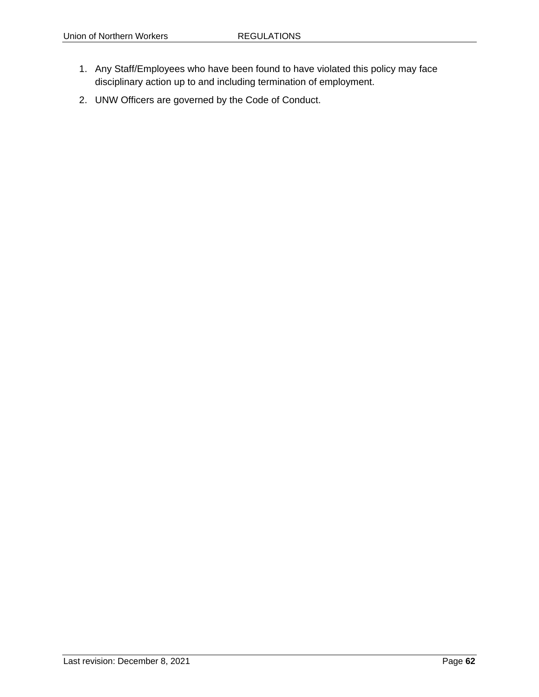- 1. Any Staff/Employees who have been found to have violated this policy may face disciplinary action up to and including termination of employment.
- 2. UNW Officers are governed by the Code of Conduct.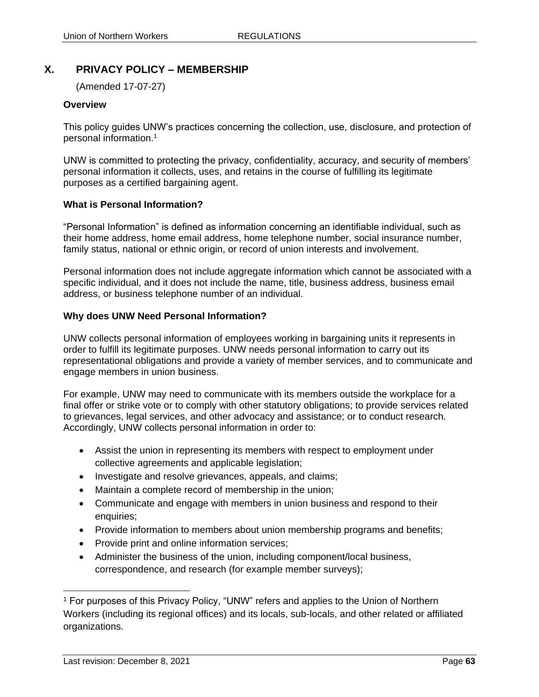# **X. PRIVACY POLICY – MEMBERSHIP**

(Amended 17-07-27)

### **Overview**

This policy guides UNW's practices concerning the collection, use, disclosure, and protection of personal information.<sup>1</sup>

UNW is committed to protecting the privacy, confidentiality, accuracy, and security of members' personal information it collects, uses, and retains in the course of fulfilling its legitimate purposes as a certified bargaining agent.

### **What is Personal Information?**

"Personal Information" is defined as information concerning an identifiable individual, such as their home address, home email address, home telephone number, social insurance number, family status, national or ethnic origin, or record of union interests and involvement.

Personal information does not include aggregate information which cannot be associated with a specific individual, and it does not include the name, title, business address, business email address, or business telephone number of an individual.

## **Why does UNW Need Personal Information?**

UNW collects personal information of employees working in bargaining units it represents in order to fulfill its legitimate purposes. UNW needs personal information to carry out its representational obligations and provide a variety of member services, and to communicate and engage members in union business.

For example, UNW may need to communicate with its members outside the workplace for a final offer or strike vote or to comply with other statutory obligations; to provide services related to grievances, legal services, and other advocacy and assistance; or to conduct research. Accordingly, UNW collects personal information in order to:

- Assist the union in representing its members with respect to employment under collective agreements and applicable legislation;
- Investigate and resolve grievances, appeals, and claims;
- Maintain a complete record of membership in the union;
- Communicate and engage with members in union business and respond to their enquiries;
- Provide information to members about union membership programs and benefits;
- Provide print and online information services:
- Administer the business of the union, including component/local business, correspondence, and research (for example member surveys);

<sup>&</sup>lt;sup>1</sup> For purposes of this Privacy Policy, "UNW" refers and applies to the Union of Northern Workers (including its regional offices) and its locals, sub-locals, and other related or affiliated organizations.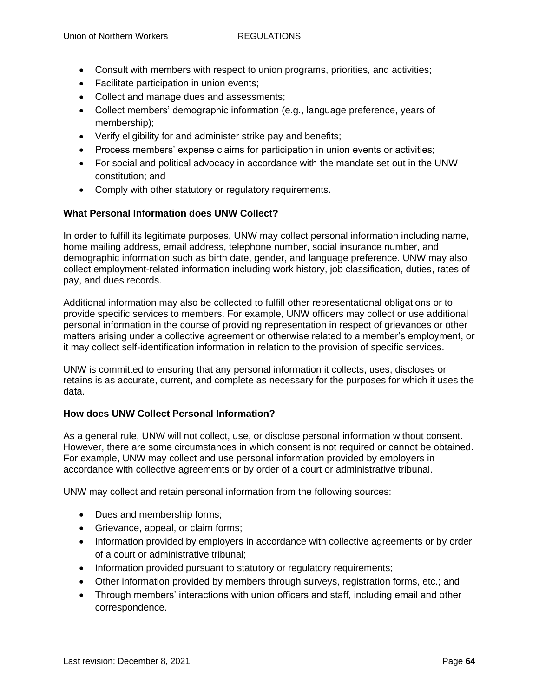- Consult with members with respect to union programs, priorities, and activities;
- Facilitate participation in union events;
- Collect and manage dues and assessments;
- Collect members' demographic information (e.g., language preference, years of membership);
- Verify eligibility for and administer strike pay and benefits;
- Process members' expense claims for participation in union events or activities;
- For social and political advocacy in accordance with the mandate set out in the UNW constitution; and
- Comply with other statutory or regulatory requirements.

## **What Personal Information does UNW Collect?**

In order to fulfill its legitimate purposes, UNW may collect personal information including name, home mailing address, email address, telephone number, social insurance number, and demographic information such as birth date, gender, and language preference. UNW may also collect employment-related information including work history, job classification, duties, rates of pay, and dues records.

Additional information may also be collected to fulfill other representational obligations or to provide specific services to members. For example, UNW officers may collect or use additional personal information in the course of providing representation in respect of grievances or other matters arising under a collective agreement or otherwise related to a member's employment, or it may collect self-identification information in relation to the provision of specific services.

UNW is committed to ensuring that any personal information it collects, uses, discloses or retains is as accurate, current, and complete as necessary for the purposes for which it uses the data.

## **How does UNW Collect Personal Information?**

As a general rule, UNW will not collect, use, or disclose personal information without consent. However, there are some circumstances in which consent is not required or cannot be obtained. For example, UNW may collect and use personal information provided by employers in accordance with collective agreements or by order of a court or administrative tribunal.

UNW may collect and retain personal information from the following sources:

- Dues and membership forms;
- Grievance, appeal, or claim forms;
- Information provided by employers in accordance with collective agreements or by order of a court or administrative tribunal;
- Information provided pursuant to statutory or regulatory requirements;
- Other information provided by members through surveys, registration forms, etc.; and
- Through members' interactions with union officers and staff, including email and other correspondence.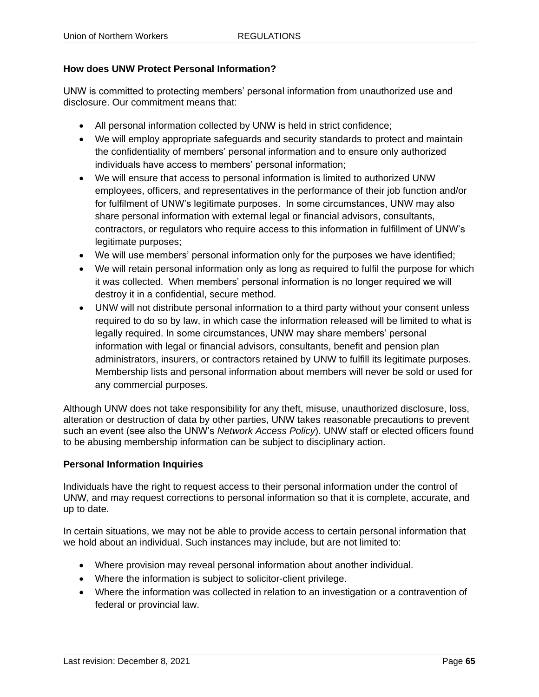# **How does UNW Protect Personal Information?**

UNW is committed to protecting members' personal information from unauthorized use and disclosure. Our commitment means that:

- All personal information collected by UNW is held in strict confidence;
- We will employ appropriate safeguards and security standards to protect and maintain the confidentiality of members' personal information and to ensure only authorized individuals have access to members' personal information;
- We will ensure that access to personal information is limited to authorized UNW employees, officers, and representatives in the performance of their job function and/or for fulfilment of UNW's legitimate purposes. In some circumstances, UNW may also share personal information with external legal or financial advisors, consultants, contractors, or regulators who require access to this information in fulfillment of UNW's legitimate purposes;
- We will use members' personal information only for the purposes we have identified;
- We will retain personal information only as long as required to fulfil the purpose for which it was collected. When members' personal information is no longer required we will destroy it in a confidential, secure method.
- UNW will not distribute personal information to a third party without your consent unless required to do so by law, in which case the information released will be limited to what is legally required. In some circumstances, UNW may share members' personal information with legal or financial advisors, consultants, benefit and pension plan administrators, insurers, or contractors retained by UNW to fulfill its legitimate purposes. Membership lists and personal information about members will never be sold or used for any commercial purposes.

Although UNW does not take responsibility for any theft, misuse, unauthorized disclosure, loss, alteration or destruction of data by other parties, UNW takes reasonable precautions to prevent such an event (see also the UNW's *Network Access Policy*). UNW staff or elected officers found to be abusing membership information can be subject to disciplinary action.

## **Personal Information Inquiries**

Individuals have the right to request access to their personal information under the control of UNW, and may request corrections to personal information so that it is complete, accurate, and up to date.

In certain situations, we may not be able to provide access to certain personal information that we hold about an individual. Such instances may include, but are not limited to:

- Where provision may reveal personal information about another individual.
- Where the information is subject to solicitor-client privilege.
- Where the information was collected in relation to an investigation or a contravention of federal or provincial law.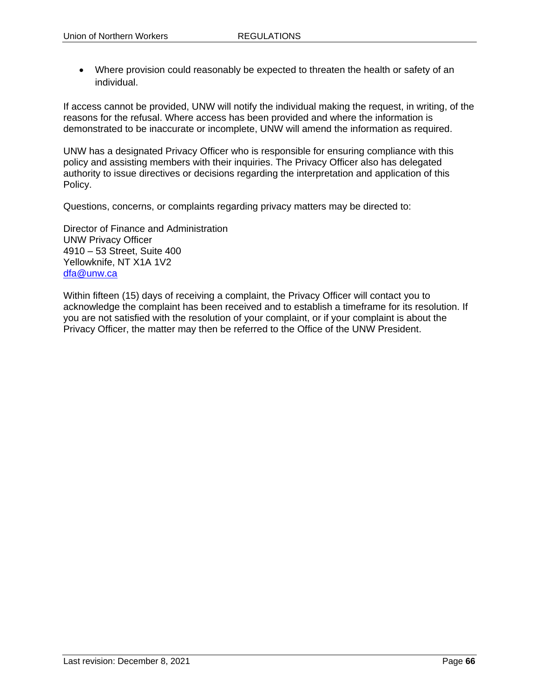• Where provision could reasonably be expected to threaten the health or safety of an individual.

If access cannot be provided, UNW will notify the individual making the request, in writing, of the reasons for the refusal. Where access has been provided and where the information is demonstrated to be inaccurate or incomplete, UNW will amend the information as required.

UNW has a designated Privacy Officer who is responsible for ensuring compliance with this policy and assisting members with their inquiries. The Privacy Officer also has delegated authority to issue directives or decisions regarding the interpretation and application of this Policy.

Questions, concerns, or complaints regarding privacy matters may be directed to:

Director of Finance and Administration UNW Privacy Officer 4910 – 53 Street, Suite 400 Yellowknife, NT X1A 1V2 [dfa@unw.ca](mailto:dfa@unw.ca)

Within fifteen (15) days of receiving a complaint, the Privacy Officer will contact you to acknowledge the complaint has been received and to establish a timeframe for its resolution. If you are not satisfied with the resolution of your complaint, or if your complaint is about the Privacy Officer, the matter may then be referred to the Office of the UNW President.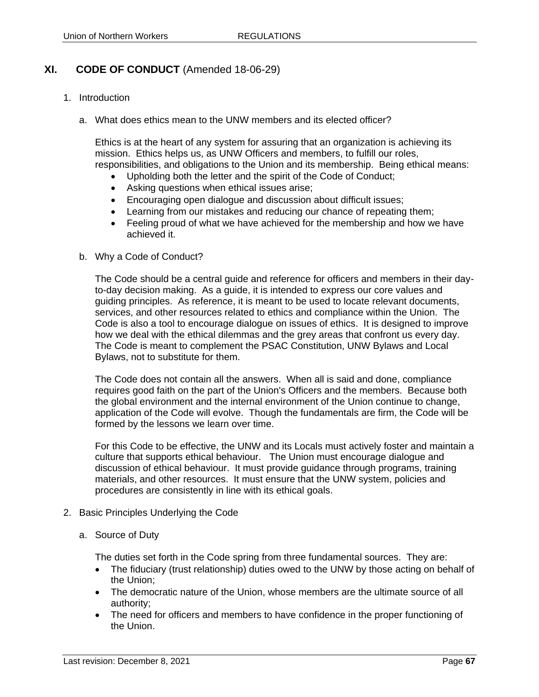# **XI. CODE OF CONDUCT** (Amended 18-06-29)

- 1. Introduction
	- a. What does ethics mean to the UNW members and its elected officer?

Ethics is at the heart of any system for assuring that an organization is achieving its mission. Ethics helps us, as UNW Officers and members, to fulfill our roles, responsibilities, and obligations to the Union and its membership. Being ethical means:

- Upholding both the letter and the spirit of the Code of Conduct:
- Asking questions when ethical issues arise;
- Encouraging open dialogue and discussion about difficult issues;
- Learning from our mistakes and reducing our chance of repeating them;
- Feeling proud of what we have achieved for the membership and how we have achieved it.
- b. Why a Code of Conduct?

The Code should be a central guide and reference for officers and members in their dayto-day decision making. As a guide, it is intended to express our core values and guiding principles. As reference, it is meant to be used to locate relevant documents, services, and other resources related to ethics and compliance within the Union. The Code is also a tool to encourage dialogue on issues of ethics. It is designed to improve how we deal with the ethical dilemmas and the grey areas that confront us every day. The Code is meant to complement the PSAC Constitution, UNW Bylaws and Local Bylaws, not to substitute for them.

The Code does not contain all the answers. When all is said and done, compliance requires good faith on the part of the Union's Officers and the members. Because both the global environment and the internal environment of the Union continue to change, application of the Code will evolve. Though the fundamentals are firm, the Code will be formed by the lessons we learn over time.

For this Code to be effective, the UNW and its Locals must actively foster and maintain a culture that supports ethical behaviour. The Union must encourage dialogue and discussion of ethical behaviour. It must provide guidance through programs, training materials, and other resources. It must ensure that the UNW system, policies and procedures are consistently in line with its ethical goals.

- 2. Basic Principles Underlying the Code
	- a. Source of Duty

The duties set forth in the Code spring from three fundamental sources. They are:

- The fiduciary (trust relationship) duties owed to the UNW by those acting on behalf of the Union;
- The democratic nature of the Union, whose members are the ultimate source of all authority;
- The need for officers and members to have confidence in the proper functioning of the Union.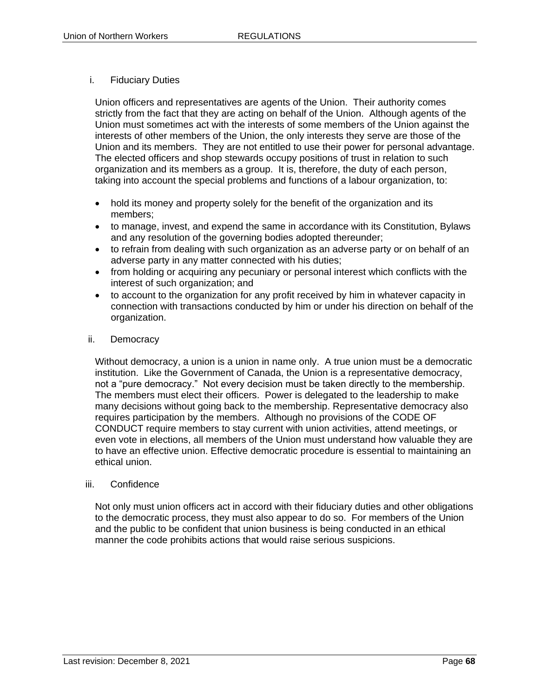# i. Fiduciary Duties

Union officers and representatives are agents of the Union. Their authority comes strictly from the fact that they are acting on behalf of the Union. Although agents of the Union must sometimes act with the interests of some members of the Union against the interests of other members of the Union, the only interests they serve are those of the Union and its members. They are not entitled to use their power for personal advantage. The elected officers and shop stewards occupy positions of trust in relation to such organization and its members as a group. It is, therefore, the duty of each person, taking into account the special problems and functions of a labour organization, to:

- hold its money and property solely for the benefit of the organization and its members;
- to manage, invest, and expend the same in accordance with its Constitution, Bylaws and any resolution of the governing bodies adopted thereunder;
- to refrain from dealing with such organization as an adverse party or on behalf of an adverse party in any matter connected with his duties;
- from holding or acquiring any pecuniary or personal interest which conflicts with the interest of such organization; and
- to account to the organization for any profit received by him in whatever capacity in connection with transactions conducted by him or under his direction on behalf of the organization.

## ii. Democracy

Without democracy, a union is a union in name only. A true union must be a democratic institution. Like the Government of Canada, the Union is a representative democracy, not a "pure democracy." Not every decision must be taken directly to the membership. The members must elect their officers. Power is delegated to the leadership to make many decisions without going back to the membership. Representative democracy also requires participation by the members. Although no provisions of the CODE OF CONDUCT require members to stay current with union activities, attend meetings, or even vote in elections, all members of the Union must understand how valuable they are to have an effective union. Effective democratic procedure is essential to maintaining an ethical union.

## iii. Confidence

Not only must union officers act in accord with their fiduciary duties and other obligations to the democratic process, they must also appear to do so. For members of the Union and the public to be confident that union business is being conducted in an ethical manner the code prohibits actions that would raise serious suspicions.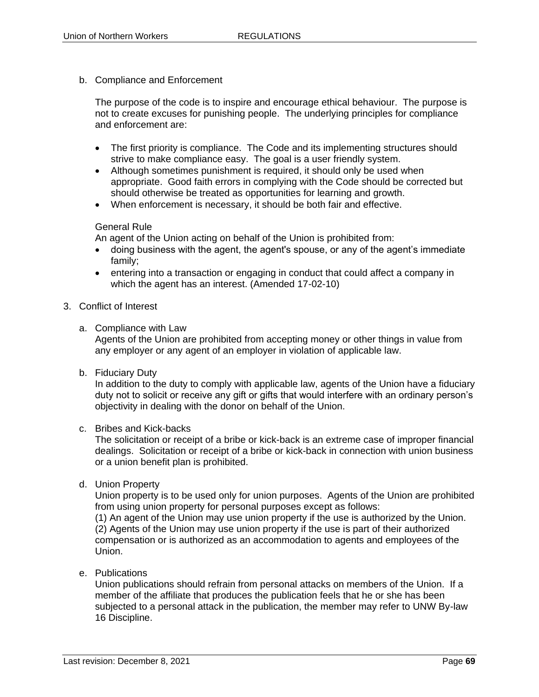b. Compliance and Enforcement

The purpose of the code is to inspire and encourage ethical behaviour. The purpose is not to create excuses for punishing people. The underlying principles for compliance and enforcement are:

- The first priority is compliance. The Code and its implementing structures should strive to make compliance easy. The goal is a user friendly system.
- Although sometimes punishment is required, it should only be used when appropriate. Good faith errors in complying with the Code should be corrected but should otherwise be treated as opportunities for learning and growth.
- When enforcement is necessary, it should be both fair and effective.

#### General Rule

An agent of the Union acting on behalf of the Union is prohibited from:

- doing business with the agent, the agent's spouse, or any of the agent's immediate family;
- entering into a transaction or engaging in conduct that could affect a company in which the agent has an interest. (Amended 17-02-10)
- 3. Conflict of Interest
	- a. Compliance with Law

Agents of the Union are prohibited from accepting money or other things in value from any employer or any agent of an employer in violation of applicable law.

b. Fiduciary Duty

In addition to the duty to comply with applicable law, agents of the Union have a fiduciary duty not to solicit or receive any gift or gifts that would interfere with an ordinary person's objectivity in dealing with the donor on behalf of the Union.

#### c. Bribes and Kick-backs

The solicitation or receipt of a bribe or kick-back is an extreme case of improper financial dealings. Solicitation or receipt of a bribe or kick-back in connection with union business or a union benefit plan is prohibited.

d. Union Property

Union property is to be used only for union purposes. Agents of the Union are prohibited from using union property for personal purposes except as follows:

(1) An agent of the Union may use union property if the use is authorized by the Union. (2) Agents of the Union may use union property if the use is part of their authorized compensation or is authorized as an accommodation to agents and employees of the Union.

e. Publications

Union publications should refrain from personal attacks on members of the Union. If a member of the affiliate that produces the publication feels that he or she has been subjected to a personal attack in the publication, the member may refer to UNW By-law 16 Discipline.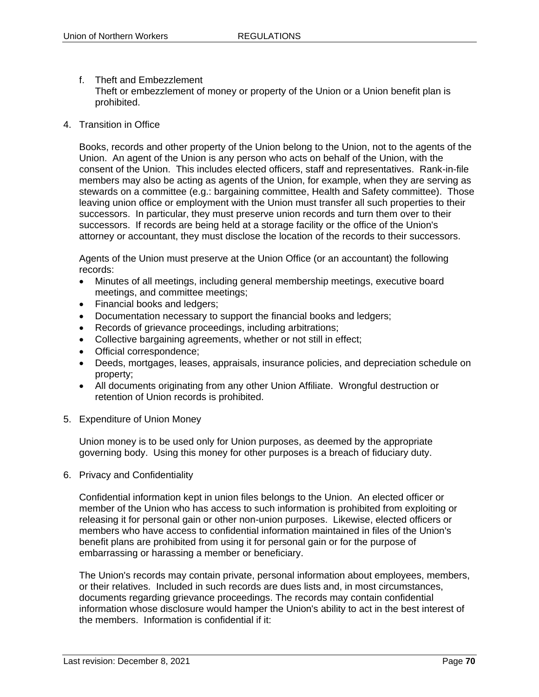- f. Theft and Embezzlement Theft or embezzlement of money or property of the Union or a Union benefit plan is prohibited.
- 4. Transition in Office

Books, records and other property of the Union belong to the Union, not to the agents of the Union. An agent of the Union is any person who acts on behalf of the Union, with the consent of the Union. This includes elected officers, staff and representatives. Rank-in-file members may also be acting as agents of the Union, for example, when they are serving as stewards on a committee (e.g.: bargaining committee, Health and Safety committee). Those leaving union office or employment with the Union must transfer all such properties to their successors. In particular, they must preserve union records and turn them over to their successors. If records are being held at a storage facility or the office of the Union's attorney or accountant, they must disclose the location of the records to their successors.

Agents of the Union must preserve at the Union Office (or an accountant) the following records:

- Minutes of all meetings, including general membership meetings, executive board meetings, and committee meetings;
- Financial books and ledgers;
- Documentation necessary to support the financial books and ledgers;
- Records of grievance proceedings, including arbitrations;
- Collective bargaining agreements, whether or not still in effect;
- Official correspondence;
- Deeds, mortgages, leases, appraisals, insurance policies, and depreciation schedule on property;
- All documents originating from any other Union Affiliate. Wrongful destruction or retention of Union records is prohibited.
- 5. Expenditure of Union Money

Union money is to be used only for Union purposes, as deemed by the appropriate governing body. Using this money for other purposes is a breach of fiduciary duty.

6. Privacy and Confidentiality

Confidential information kept in union files belongs to the Union. An elected officer or member of the Union who has access to such information is prohibited from exploiting or releasing it for personal gain or other non-union purposes. Likewise, elected officers or members who have access to confidential information maintained in files of the Union's benefit plans are prohibited from using it for personal gain or for the purpose of embarrassing or harassing a member or beneficiary.

The Union's records may contain private, personal information about employees, members, or their relatives. Included in such records are dues lists and, in most circumstances, documents regarding grievance proceedings. The records may contain confidential information whose disclosure would hamper the Union's ability to act in the best interest of the members. Information is confidential if it: